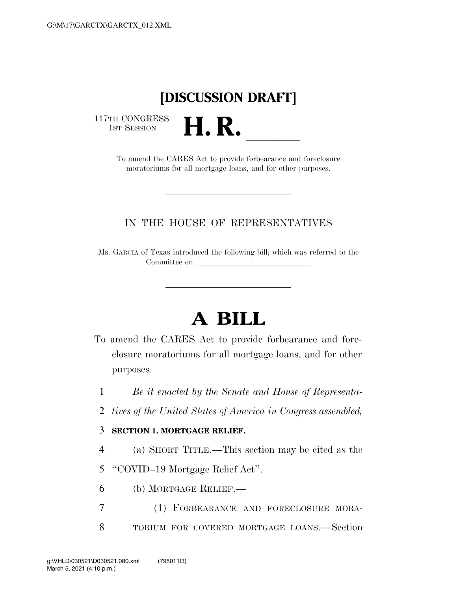## **[DISCUSSION DRAFT]**

117TH CONGRESS<br>1st Session

TH CONGRESS<br>1st SESSION **H. R. letter in the CARES** Act to provide forbearance and foreclosure moratoriums for all mortgage loans, and for other purposes.

## IN THE HOUSE OF REPRESENTATIVES

Ms. GARCIA of Texas introduced the following bill; which was referred to the Committee on

## **A BILL**

To amend the CARES Act to provide forbearance and foreclosure moratoriums for all mortgage loans, and for other purposes.

1 *Be it enacted by the Senate and House of Representa-*

- 2 *tives of the United States of America in Congress assembled,*
- 3 **SECTION 1. MORTGAGE RELIEF.**
- 4 (a) SHORT TITLE.—This section may be cited as the

5 ''COVID–19 Mortgage Relief Act''.

- 6 (b) MORTGAGE RELIEF.—
- 7 (1) FORBEARANCE AND FORECLOSURE MORA-8 TORIUM FOR COVERED MORTGAGE LOANS.—Section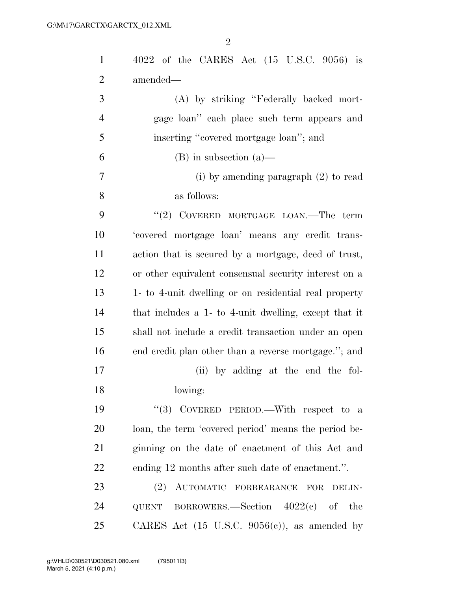| $\mathbf{1}$   | $4022$ of the CARES Act $(15 \text{ U.S.C. } 9056)$ is   |
|----------------|----------------------------------------------------------|
| $\overline{2}$ | amended—                                                 |
| 3              | (A) by striking "Federally backed mort-                  |
| $\overline{4}$ | gage loan" each place such term appears and              |
| 5              | inserting "covered mortgage loan"; and                   |
| 6              | $(B)$ in subsection $(a)$ —                              |
| 7              | (i) by amending paragraph $(2)$ to read                  |
| 8              | as follows:                                              |
| 9              | "(2) COVERED MORTGAGE LOAN.—The term                     |
| 10             | 'covered mortgage loan' means any credit trans-          |
| 11             | action that is secured by a mortgage, deed of trust,     |
| 12             | or other equivalent consensual security interest on a    |
| 13             | 1- to 4-unit dwelling or on residential real property    |
| 14             | that includes a 1- to 4-unit dwelling, except that it    |
| 15             | shall not include a credit transaction under an open     |
| 16             | end credit plan other than a reverse mortgage."; and     |
| 17             | (ii) by adding at the end the fol-                       |
| 18             | lowing:                                                  |
| 19             | "(3) COVERED PERIOD.—With respect to a                   |
| 20             | loan, the term 'covered period' means the period be-     |
| 21             | ginning on the date of enactment of this Act and         |
| 22             | ending 12 months after such date of enactment.".         |
| 23             | AUTOMATIC FORBEARANCE FOR<br>(2)<br>DELIN-               |
| 24             | QUENT BORROWERS.—Section $4022(e)$ of<br>the             |
| 25             | CARES Act $(15 \text{ U.S.C. } 9056(c))$ , as amended by |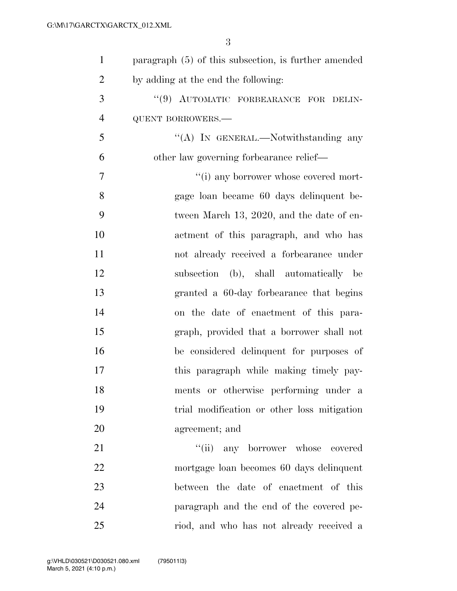| $\mathbf{1}$   | paragraph $(5)$ of this subsection, is further amended |
|----------------|--------------------------------------------------------|
| $\overline{2}$ | by adding at the end the following:                    |
| 3              | "(9) AUTOMATIC FORBEARANCE FOR DELIN-                  |
| $\overline{4}$ | <b>QUENT BORROWERS.-</b>                               |
| 5              | "(A) IN GENERAL.—Notwithstanding any                   |
| 6              | other law governing forbearance relief-                |
| 7              | "(i) any borrower whose covered mort-                  |
| 8              | gage loan became 60 days delinquent be-                |
| 9              | tween March 13, 2020, and the date of en-              |
| 10             | actment of this paragraph, and who has                 |
| 11             | not already received a forbearance under               |
| 12             | subsection (b), shall automatically be                 |
| 13             | granted a 60-day forbearance that begins               |
| 14             | on the date of enactment of this para-                 |
| 15             | graph, provided that a borrower shall not              |
| 16             | be considered delinquent for purposes of               |
| 17             | this paragraph while making timely pay-                |
| 18             | ments or otherwise performing under a                  |
| 19             | trial modification or other loss mitigation            |
| 20             | agreement; and                                         |
| 21             | "(ii) any borrower whose covered                       |
| 22             | mortgage loan becomes 60 days delinquent               |
| 23             | between the date of enactment of this                  |
| 24             | paragraph and the end of the covered pe-               |
| 25             | riod, and who has not already received a               |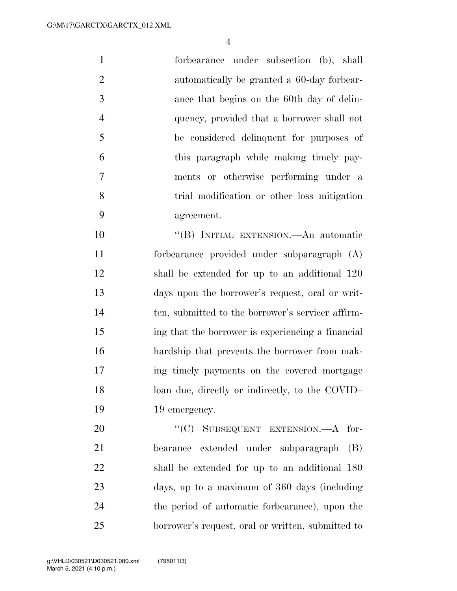forbearance under subsection (b), shall automatically be granted a 60-day forbear- ance that begins on the 60th day of delin- quency, provided that a borrower shall not be considered delinquent for purposes of this paragraph while making timely pay- ments or otherwise performing under a trial modification or other loss mitigation agreement.

 ''(B) INITIAL EXTENSION.—An automatic forbearance provided under subparagraph (A) shall be extended for up to an additional 120 days upon the borrower's request, oral or writ- ten, submitted to the borrower's servicer affirm- ing that the borrower is experiencing a financial hardship that prevents the borrower from mak- ing timely payments on the covered mortgage 18 loan due, directly or indirectly, to the COVID– 19 19 emergency.

20 "(C) SUBSEQUENT EXTENSION.—A for- bearance extended under subparagraph (B) shall be extended for up to an additional 180 days, up to a maximum of 360 days (including the period of automatic forbearance), upon the borrower's request, oral or written, submitted to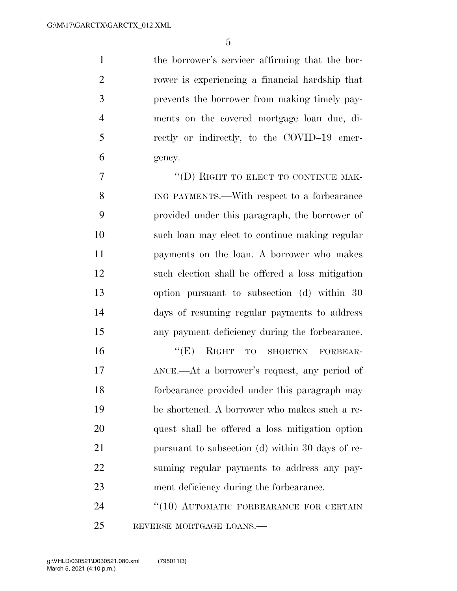the borrower's servicer affirming that the bor- rower is experiencing a financial hardship that prevents the borrower from making timely pay- ments on the covered mortgage loan due, di- rectly or indirectly, to the COVID–19 emer-gency.

7 "(D) RIGHT TO ELECT TO CONTINUE MAK- ING PAYMENTS.—With respect to a forbearance provided under this paragraph, the borrower of such loan may elect to continue making regular payments on the loan. A borrower who makes such election shall be offered a loss mitigation option pursuant to subsection (d) within 30 days of resuming regular payments to address any payment deficiency during the forbearance.

 ''(E) RIGHT TO SHORTEN FORBEAR- ANCE.—At a borrower's request, any period of forbearance provided under this paragraph may be shortened. A borrower who makes such a re- quest shall be offered a loss mitigation option pursuant to subsection (d) within 30 days of re- suming regular payments to address any pay-ment deficiency during the forbearance.

24 "(10) AUTOMATIC FORBEARANCE FOR CERTAIN REVERSE MORTGAGE LOANS.—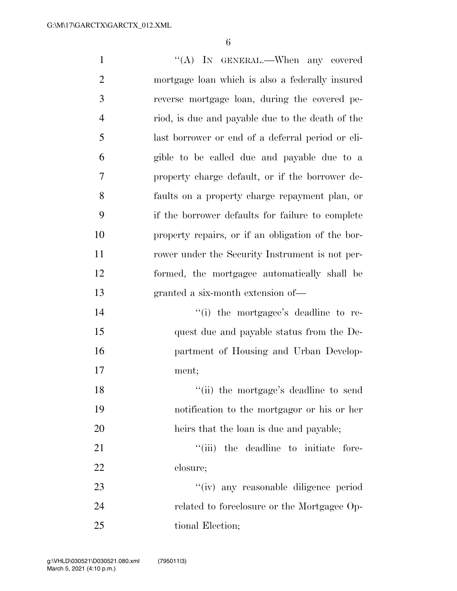| $\mathbf{1}$     | "(A) IN GENERAL.—When any covered                 |
|------------------|---------------------------------------------------|
| $\overline{2}$   | mortgage loan which is also a federally insured   |
| 3                | reverse mortgage loan, during the covered pe-     |
| $\overline{4}$   | riod, is due and payable due to the death of the  |
| 5                | last borrower or end of a deferral period or eli- |
| 6                | gible to be called due and payable due to a       |
| $\boldsymbol{7}$ | property charge default, or if the borrower de-   |
| 8                | faults on a property charge repayment plan, or    |
| 9                | if the borrower defaults for failure to complete  |
| 10               | property repairs, or if an obligation of the bor- |
| 11               | rower under the Security Instrument is not per-   |
| 12               | formed, the mortgagee automatically shall be      |
| 13               | granted a six-month extension of—                 |
| 14               | "(i) the mortgagee's deadline to re-              |
| 15               | quest due and payable status from the De-         |
| 16               | partment of Housing and Urban Develop-            |
| 17               | ment;                                             |
| 18               | "(ii) the mortgage's deadline to send             |
| 19               | notification to the mortgagor or his or her       |
| 20               | heirs that the loan is due and payable;           |
| 21               | "(iii) the deadline to initiate fore-             |
| 22               | closure;                                          |
| 23               | "(iv) any reasonable diligence period             |
| 24               | related to foreclosure or the Mortgagee Op-       |
| 25               | tional Election;                                  |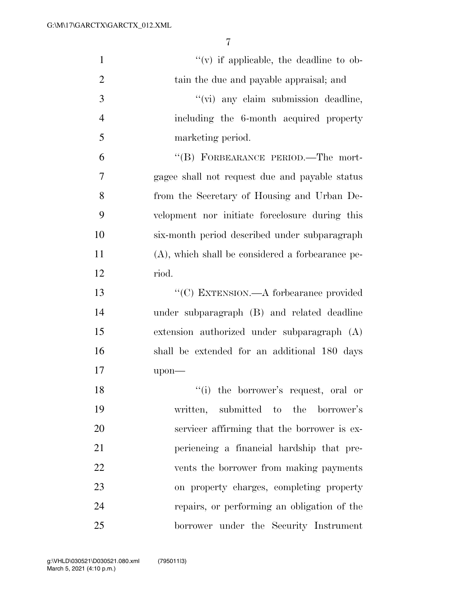| $\mathbf{1}$   | $f'(v)$ if applicable, the deadline to ob-          |
|----------------|-----------------------------------------------------|
| $\overline{2}$ | tain the due and payable appraisal; and             |
| 3              | "(vi) any claim submission deadline,                |
| $\overline{4}$ | including the 6-month acquired property             |
| 5              | marketing period.                                   |
| 6              | "(B) FORBEARANCE PERIOD.—The mort-                  |
| 7              | gagee shall not request due and payable status      |
| 8              | from the Secretary of Housing and Urban De-         |
| 9              | velopment nor initiate foreclosure during this      |
| 10             | six-month period described under subparagraph       |
| 11             | $(A)$ , which shall be considered a forbearance pe- |
| 12             | riod.                                               |
| 13             | "(C) EXTENSION.—A for<br>bearance provided          |
| 14             | under subparagraph (B) and related deadline         |
| 15             | extension authorized under subparagraph (A)         |
| 16             | shall be extended for an additional 180 days        |
| 17             | upon-                                               |
| 18             | "(i) the borrower's request, oral or                |
| 19             | written, submitted to the borrower's                |
| 20             | servicer affirming that the borrower is ex-         |
| 21             | periencing a financial hardship that pre-           |
| 22             | vents the borrower from making payments             |
| 23             | on property charges, completing property            |
| 24             | repairs, or performing an obligation of the         |
| 25             | borrower under the Security Instrument              |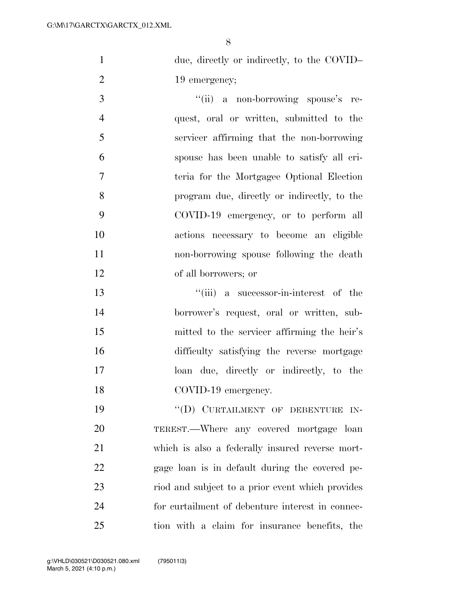- 1 due, directly or indirectly, to the COVID– 2 19 emergency;
- 3  $\frac{1}{\sin^2 a}$  a non-borrowing spouse's re- quest, oral or written, submitted to the servicer affirming that the non-borrowing spouse has been unable to satisfy all cri- teria for the Mortgagee Optional Election program due, directly or indirectly, to the COVID-19 emergency, or to perform all actions necessary to become an eligible non-borrowing spouse following the death of all borrowers; or
- ''(iii) a successor-in-interest of the borrower's request, oral or written, sub- mitted to the servicer affirming the heir's difficulty satisfying the reverse mortgage loan due, directly or indirectly, to the 18 COVID-19 emergency.

19 "(D) CURTAILMENT OF DEBENTURE IN- TEREST.—Where any covered mortgage loan which is also a federally insured reverse mort- gage loan is in default during the covered pe- riod and subject to a prior event which provides for curtailment of debenture interest in connec-tion with a claim for insurance benefits, the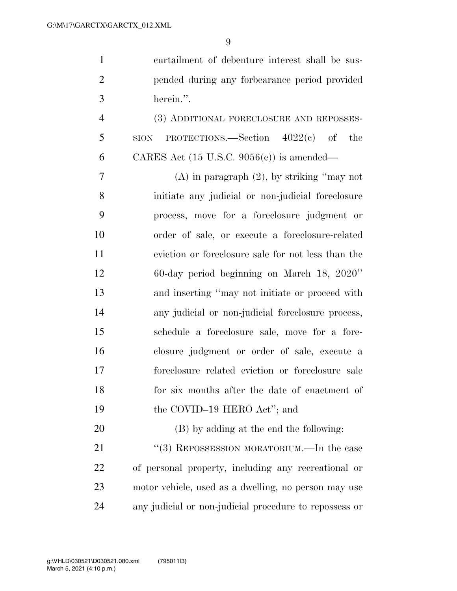| $\mathbf{1}$   | curtailment of debenture interest shall be sus-         |
|----------------|---------------------------------------------------------|
| $\overline{2}$ | pended during any forbearance period provided           |
| 3              | herein.".                                               |
| $\overline{4}$ | (3) ADDITIONAL FORECLOSURE AND REPOSSES-                |
| 5              | PROTECTIONS.—Section $4022(e)$ of<br>the<br><b>SION</b> |
| 6              | CARES Act $(15 \text{ U.S.C. } 9056(c))$ is amended—    |
| 7              | $(A)$ in paragraph $(2)$ , by striking "may not         |
| 8              | initiate any judicial or non-judicial foreclosure       |
| 9              | process, move for a foreclosure judgment or             |
| 10             | order of sale, or execute a foreclosure-related         |
| 11             | eviction or foreclosure sale for not less than the      |
| 12             | 60-day period beginning on March 18, 2020"              |
| 13             | and inserting "may not initiate or proceed with         |
| 14             | any judicial or non-judicial foreclosure process,       |
| 15             | schedule a foreclosure sale, move for a fore-           |
| 16             | closure judgment or order of sale, execute a            |
| 17             | foreclosure related eviction or foreclosure sale        |
| 18             | for six months after the date of enactment of           |
| 19             | the COVID-19 HERO Act"; and                             |
| 20             | (B) by adding at the end the following:                 |
| 21             | "(3) REPOSSESSION MORATORIUM.—In the case               |
| 22             | of personal property, including any recreational or     |

 motor vehicle, used as a dwelling, no person may use any judicial or non-judicial procedure to repossess or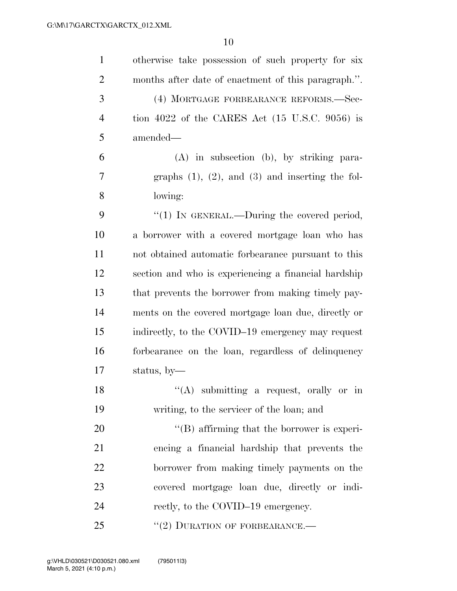| $\mathbf{1}$   | otherwise take possession of such property for six        |
|----------------|-----------------------------------------------------------|
| $\overline{2}$ | months after date of enactment of this paragraph.".       |
| 3              | (4) MORTGAGE FORBEARANCE REFORMS.-Sec-                    |
| $\overline{4}$ | tion 4022 of the CARES Act $(15 \text{ U.S.C. } 9056)$ is |
| 5              | amended-                                                  |
| 6              | $(A)$ in subsection $(b)$ , by striking para-             |
| 7              | graphs $(1)$ , $(2)$ , and $(3)$ and inserting the fol-   |
| 8              | lowing:                                                   |
| 9              | " $(1)$ In GENERAL.—During the covered period,            |
| 10             | a borrower with a covered mortgage loan who has           |
| 11             | not obtained automatic forbearance pursuant to this       |
| 12             | section and who is experiencing a financial hardship      |
| 13             | that prevents the borrower from making timely pay-        |
| 14             | ments on the covered mortgage loan due, directly or       |
| 15             | indirectly, to the COVID-19 emergency may request         |
| 16             | forbearance on the loan, regardless of delinquency        |
| 17             | status, by-                                               |
| 18             | $\lq\lq$ submitting a request, orally or in               |
| 19             | writing, to the servicer of the loan; and                 |
| 20             | "(B) affirming that the borrower is experi-               |
| 21             | encing a financial hardship that prevents the             |
| 22             | borrower from making timely payments on the               |
| 23             | covered mortgage loan due, directly or indi-              |
| 24             | rectly, to the COVID-19 emergency.                        |
| 25             | $``(2)$ DURATION OF FORBEARANCE.—                         |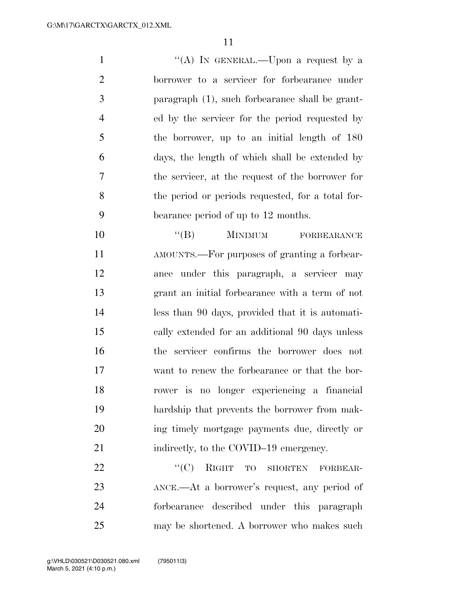1 ''(A) In GENERAL.—Upon a request by a borrower to a servicer for forbearance under paragraph (1), such forbearance shall be grant- ed by the servicer for the period requested by the borrower, up to an initial length of 180 days, the length of which shall be extended by the servicer, at the request of the borrower for the period or periods requested, for a total for-bearance period of up to 12 months.

10 "(B) MINIMUM FORBEARANCE AMOUNTS.—For purposes of granting a forbear- ance under this paragraph, a servicer may grant an initial forbearance with a term of not less than 90 days, provided that it is automati- cally extended for an additional 90 days unless the servicer confirms the borrower does not want to renew the forbearance or that the bor- rower is no longer experiencing a financial hardship that prevents the borrower from mak- ing timely mortgage payments due, directly or 21 indirectly, to the COVID–19 emergency.

22 "
(C) RIGHT TO SHORTEN FORBEAR- ANCE.—At a borrower's request, any period of forbearance described under this paragraph may be shortened. A borrower who makes such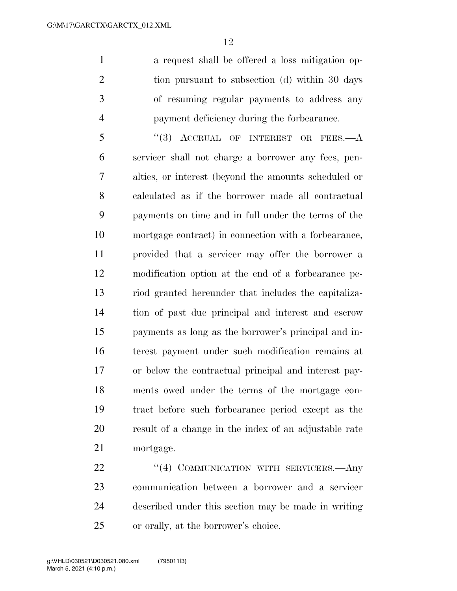a request shall be offered a loss mitigation op-2 tion pursuant to subsection (d) within 30 days of resuming regular payments to address any payment deficiency during the forbearance.

5 "(3) ACCRUAL OF INTEREST OR FEES.—A servicer shall not charge a borrower any fees, pen- alties, or interest (beyond the amounts scheduled or calculated as if the borrower made all contractual payments on time and in full under the terms of the mortgage contract) in connection with a forbearance, provided that a servicer may offer the borrower a modification option at the end of a forbearance pe- riod granted hereunder that includes the capitaliza- tion of past due principal and interest and escrow payments as long as the borrower's principal and in- terest payment under such modification remains at or below the contractual principal and interest pay- ments owed under the terms of the mortgage con- tract before such forbearance period except as the result of a change in the index of an adjustable rate mortgage.

22 "(4) COMMUNICATION WITH SERVICERS.—Any communication between a borrower and a servicer described under this section may be made in writing or orally, at the borrower's choice.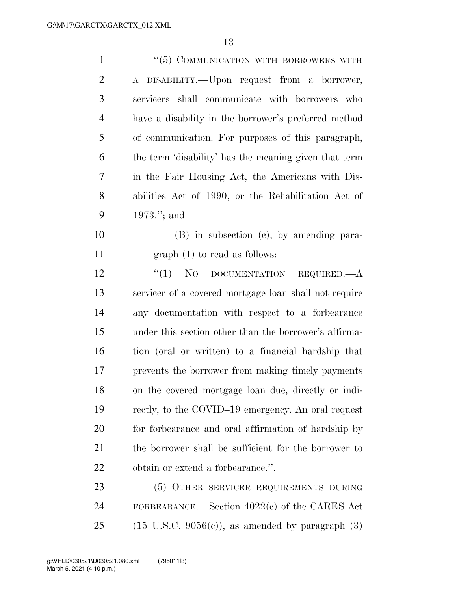| $\mathbf{1}$   | "(5) COMMUNICATION WITH BORROWERS WITH                         |
|----------------|----------------------------------------------------------------|
| $\overline{2}$ | DISABILITY.—Upon request from a borrower,<br>$\rm A$           |
| 3              | servicers shall communicate with borrowers who                 |
| $\overline{4}$ | have a disability in the borrower's preferred method           |
| 5              | of communication. For purposes of this paragraph,              |
| 6              | the term 'disability' has the meaning given that term          |
| $\tau$         | in the Fair Housing Act, the Americans with Dis-               |
| 8              | abilities Act of 1990, or the Rehabilitation Act of            |
| 9              | $1973$ ."; and                                                 |
| 10             | $(B)$ in subsection $(c)$ , by amending para-                  |
| 11             | $graph(1)$ to read as follows:                                 |
| 12             | $\lq(1)$ No<br>DOCUMENTATION REQUIRED.—A                       |
| 13             | servicer of a covered mortgage loan shall not require          |
| 14             | any documentation with respect to a forbearance                |
| 15             | under this section other than the borrower's affirma-          |
| 16             | tion (oral or written) to a financial hardship that            |
| 17             | prevents the borrower from making timely payments              |
| 18             | on the covered mortgage loan due, directly or indi-            |
| 19             | rectly, to the COVID-19 emergency. An oral request             |
| 20             | for forbearance and oral affirmation of hardship by            |
| 21             | the borrower shall be sufficient for the borrower to           |
| 22             | obtain or extend a forbearance.".                              |
| 23             | (5) OTHER SERVICER REQUIREMENTS DURING                         |
| 24             | FORBEARANCE.—Section $4022(e)$ of the CARES Act                |
| 25             | $(15 \text{ U.S.C. } 9056(e))$ , as amended by paragraph $(3)$ |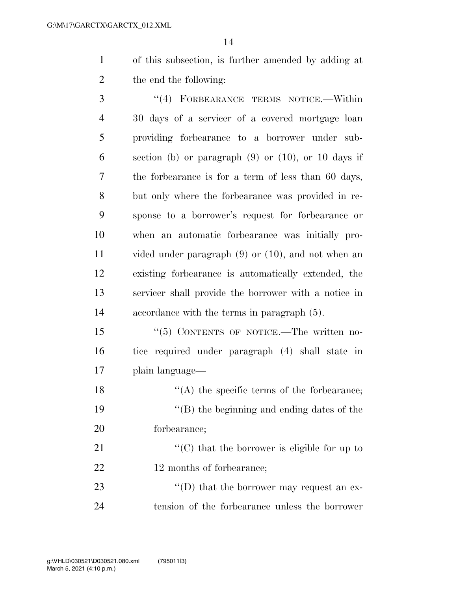of this subsection, is further amended by adding at the end the following:

 ''(4) FORBEARANCE TERMS NOTICE.—Within 30 days of a servicer of a covered mortgage loan providing forbearance to a borrower under sub- section (b) or paragraph (9) or (10), or 10 days if the forbearance is for a term of less than 60 days, but only where the forbearance was provided in re- sponse to a borrower's request for forbearance or when an automatic forbearance was initially pro- vided under paragraph (9) or (10), and not when an existing forbearance is automatically extended, the servicer shall provide the borrower with a notice in accordance with the terms in paragraph (5).

 ''(5) CONTENTS OF NOTICE.—The written no- tice required under paragraph (4) shall state in plain language—

18  $\langle (A)$  the specific terms of the forbearance; ''(B) the beginning and ending dates of the forbearance;

21  $\langle ^{\prime}(C) \rangle$  that the borrower is eligible for up to 22 12 months of forbearance;

23 ''(D) that the borrower may request an ex-tension of the forbearance unless the borrower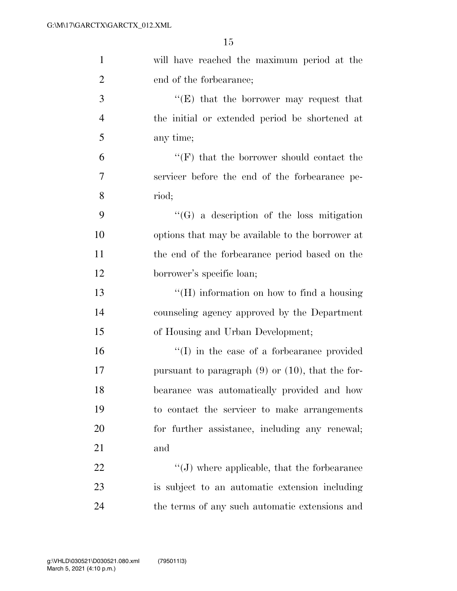| $\mathbf{1}$   | will have reached the maximum period at the               |
|----------------|-----------------------------------------------------------|
| $\overline{2}$ | end of the forbearance;                                   |
| 3              | "(E) that the borrower may request that                   |
| $\overline{4}$ | the initial or extended period be shortened at            |
| 5              | any time;                                                 |
| 6              | $\lq\lq(\mathrm{F})$ that the borrower should contact the |
| 7              | servicer before the end of the forbearance pe-            |
| 8              | riod;                                                     |
| 9              | $\lq\lq(G)$ a description of the loss mitigation          |
| 10             | options that may be available to the borrower at          |
| 11             | the end of the forbearance period based on the            |
| 12             | borrower's specific loan;                                 |
| 13             | $\lq\lq (H)$ information on how to find a housing         |
| 14             | counseling agency approved by the Department              |
| 15             | of Housing and Urban Development;                         |
| 16             | $\lq\lq$ (I) in the case of a forbearance provided        |
| 17             | pursuant to paragraph $(9)$ or $(10)$ , that the for-     |
| 18             | bearance was automatically provided and how               |
| 19             | to contact the servicer to make arrangements              |
| 20             | for further assistance, including any renewal;            |
| 21             | and                                                       |
| 22             | $\lq\lq(J)$ where applicable, that the forbearance        |
| 23             | is subject to an automatic extension including            |
| $24\,$         | the terms of any such automatic extensions and            |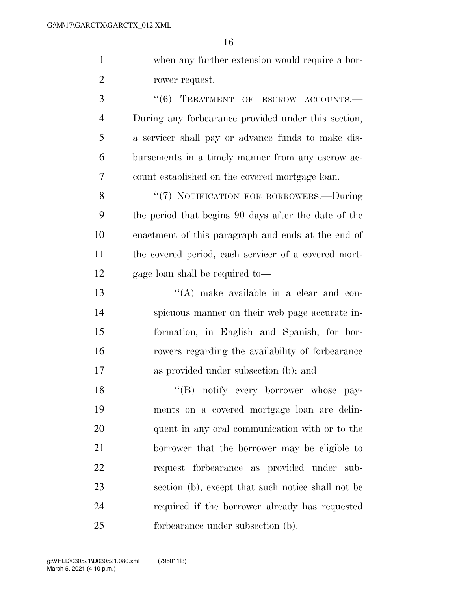when any further extension would require a bor-rower request.

3 "(6) TREATMENT OF ESCROW ACCOUNTS.— During any forbearance provided under this section, a servicer shall pay or advance funds to make dis- bursements in a timely manner from any escrow ac-count established on the covered mortgage loan.

8 "(7) NOTIFICATION FOR BORROWERS.—During the period that begins 90 days after the date of the enactment of this paragraph and ends at the end of the covered period, each servicer of a covered mort-gage loan shall be required to—

 ''(A) make available in a clear and con- spicuous manner on their web page accurate in- formation, in English and Spanish, for bor- rowers regarding the availability of forbearance as provided under subsection (b); and

18 "(B) notify every borrower whose pay- ments on a covered mortgage loan are delin- quent in any oral communication with or to the borrower that the borrower may be eligible to request forbearance as provided under sub- section (b), except that such notice shall not be required if the borrower already has requested forbearance under subsection (b).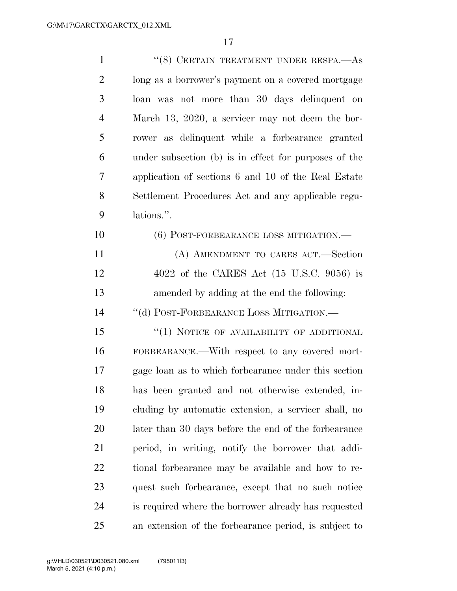| $\mathbf{1}$   | $``(8)$ CERTAIN TREATMENT UNDER RESPA.—As             |
|----------------|-------------------------------------------------------|
| $\overline{2}$ | long as a borrower's payment on a covered mortgage    |
| 3              | loan was not more than 30 days delinquent on          |
| $\overline{4}$ | March 13, 2020, a servicer may not deem the bor-      |
| 5              | rower as delinquent while a forbearance granted       |
| 6              | under subsection (b) is in effect for purposes of the |
| 7              | application of sections 6 and 10 of the Real Estate   |
| 8              | Settlement Procedures Act and any applicable regu-    |
| 9              | lations.".                                            |
| 10             | (6) POST-FORBEARANCE LOSS MITIGATION.—                |
| 11             | (A) AMENDMENT TO CARES ACT.—Section                   |
| 12             | 4022 of the CARES Act $(15 \text{ U.S.C. } 9056)$ is  |
| 13             | amended by adding at the end the following:           |
| 14             | "(d) POST-FORBEARANCE LOSS MITIGATION.-               |
| 15             | "(1) NOTICE OF AVAILABILITY OF ADDITIONAL             |
| 16             | FORBEARANCE.—With respect to any covered mort-        |
| 17             | gage loan as to which forbearance under this section  |
| 18             | has been granted and not otherwise extended, in-      |
| 19             | cluding by automatic extension, a servicer shall, no  |
| 20             | later than 30 days before the end of the forbearance  |
| 21             | period, in writing, notify the borrower that addi-    |
| 22             | tional forbearance may be available and how to re-    |
| 23             | quest such forbearance, except that no such notice    |
| 24             | is required where the borrower already has requested  |
| 25             | an extension of the forbearance period, is subject to |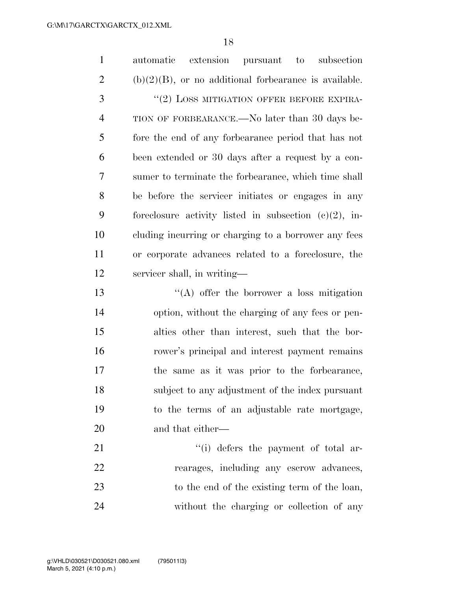$\overline{10}$ 

|                | 18                                                               |
|----------------|------------------------------------------------------------------|
| $\mathbf{1}$   | extension<br>automatic<br>pursuant<br>subsection<br>$\mathbf{t}$ |
| $\overline{2}$ | $(b)(2)(B)$ , or no additional forbearance is available.         |
| 3              | "(2) LOSS MITIGATION OFFER BEFORE EXPIRA-                        |
| $\overline{4}$ | TION OF FORBEARANCE.—No later than 30 days be-                   |
| 5              | fore the end of any forbearance period that has not              |
| 6              | been extended or 30 days after a request by a con-               |
| 7              | sumer to terminate the forbearance, which time shall             |
| 8              | be before the servicer initiates or engages in any               |
| 9              | foreclosure activity listed in subsection $(c)(2)$ , in-         |
| 10             | cluding incurring or charging to a borrower any fees             |
| 11             | or corporate advances related to a foreclosure, the              |
| 12             | servicer shall, in writing—                                      |
| 13             | $\lq\lq$ offer the borrower a loss mitigation                    |
| 14             | option, without the charging of any fees or pen-                 |
| 15             | alties other than interest, such that the bor-                   |
| 16             | rower's principal and interest payment remains                   |
| 17             | the same as it was prior to the forbearance,                     |
| 18             | subject to any adjustment of the index pursuant                  |
| 19             | to the terms of an adjustable rate mortgage,                     |
| 20             | and that either—                                                 |
| 21             | "(i) defers the payment of total ar-                             |
| 22             | rearages, including any escrow advances,                         |
|                |                                                                  |

 to the end of the existing term of the loan, without the charging or collection of any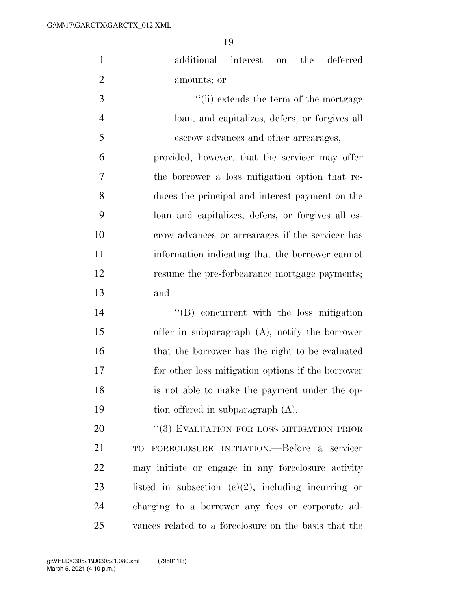| $\mathbf{1}$   | additional interest<br>the<br>deferred<br>on           |
|----------------|--------------------------------------------------------|
| $\overline{2}$ | amounts; or                                            |
| 3              | "(ii) extends the term of the mortgage                 |
| $\overline{4}$ | loan, and capitalizes, defers, or forgives all         |
| 5              | escrow advances and other arrearages,                  |
| 6              | provided, however, that the servicer may offer         |
| 7              | the borrower a loss mitigation option that re-         |
| 8              | duces the principal and interest payment on the        |
| 9              | loan and capitalizes, defers, or forgives all es-      |
| 10             | crow advances or arrearages if the servicer has        |
| 11             | information indicating that the borrower cannot        |
| 12             | resume the pre-forbearance mortgage payments;          |
| 13             | and                                                    |
| 14             | $\lq\lq$ concurrent with the loss mitigation           |
| 15             | offer in subparagraph $(A)$ , notify the borrower      |
| 16             | that the borrower has the right to be evaluated        |
| 17             | for other loss mitigation options if the borrower      |
| 18             | is not able to make the payment under the op-          |
| 19             | tion offered in subparagraph (A).                      |
| 20             | "(3) EVALUATION FOR LOSS MITIGATION PRIOR              |
| 21             | TO FORECLOSURE INITIATION.—Before a servicer           |
| 22             | may initiate or engage in any foreclosure activity     |
| 23             | listed in subsection $(c)(2)$ , including incurring or |
| 24             | charging to a borrower any fees or corporate ad-       |
| 25             | vances related to a foreclosure on the basis that the  |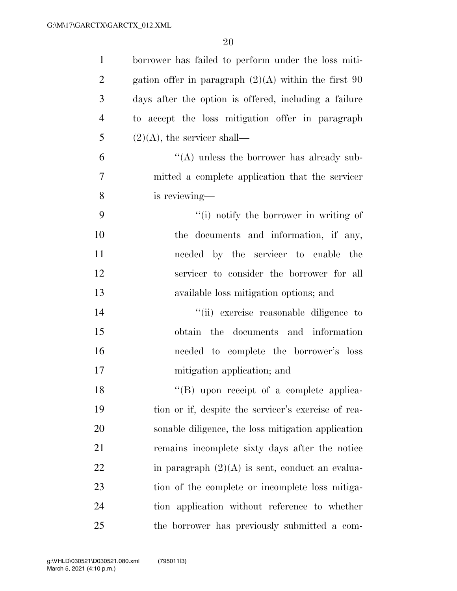| $\mathbf{1}$   | borrower has failed to perform under the loss miti-    |
|----------------|--------------------------------------------------------|
| $\overline{2}$ | gation offer in paragraph $(2)(A)$ within the first 90 |
| 3              | days after the option is offered, including a failure  |
| $\overline{4}$ | to accept the loss mitigation offer in paragraph       |
| 5              | $(2)(A)$ , the servicer shall—                         |
| 6              | $\lq\lq$ unless the borrower has already sub-          |
| 7              | mitted a complete application that the servicer        |
| 8              | is reviewing—                                          |
| 9              | "(i) notify the borrower in writing of                 |
| 10             | the documents and information, if any,                 |
| 11             | needed by the servicer to enable the                   |
| 12             | servicer to consider the borrower for all              |
| 13             | available loss mitigation options; and                 |
| 14             | "(ii) exercise reasonable diligence to                 |
| 15             | obtain the documents and information                   |
| 16             | needed to complete the borrower's loss                 |
| 17             | mitigation application; and                            |
| 18             | "(B) upon receipt of a complete applica-               |
| 19             | tion or if, despite the servicer's exercise of rea-    |
| 20             | sonable diligence, the loss mitigation application     |
| 21             | remains incomplete sixty days after the notice         |
| 22             | in paragraph $(2)(A)$ is sent, conduct an evalua-      |
| 23             | tion of the complete or incomplete loss mitiga-        |
| 24             | tion application without reference to whether          |
| 25             | the borrower has previously submitted a com-           |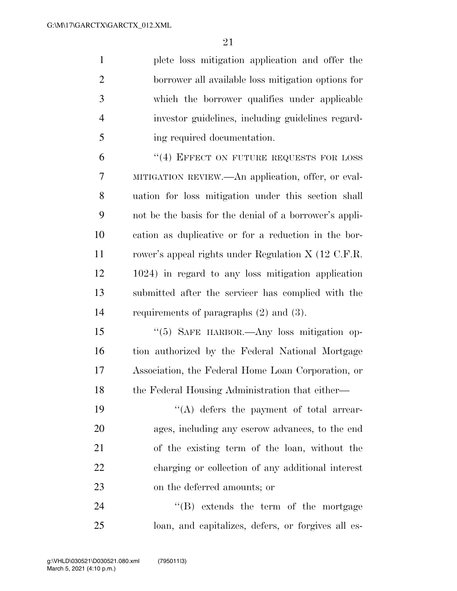plete loss mitigation application and offer the borrower all available loss mitigation options for which the borrower qualifies under applicable investor guidelines, including guidelines regard-ing required documentation.

6 "(4) EFFECT ON FUTURE REQUESTS FOR LOSS MITIGATION REVIEW.—An application, offer, or eval- uation for loss mitigation under this section shall not be the basis for the denial of a borrower's appli- cation as duplicative or for a reduction in the bor- rower's appeal rights under Regulation X (12 C.F.R. 1024) in regard to any loss mitigation application submitted after the servicer has complied with the requirements of paragraphs (2) and (3).

 ''(5) SAFE HARBOR.—Any loss mitigation op- tion authorized by the Federal National Mortgage Association, the Federal Home Loan Corporation, or 18 the Federal Housing Administration that either—

 $\langle (A)$  defers the payment of total arrear- ages, including any escrow advances, to the end of the existing term of the loan, without the charging or collection of any additional interest on the deferred amounts; or

24 ''(B) extends the term of the mortgage loan, and capitalizes, defers, or forgives all es-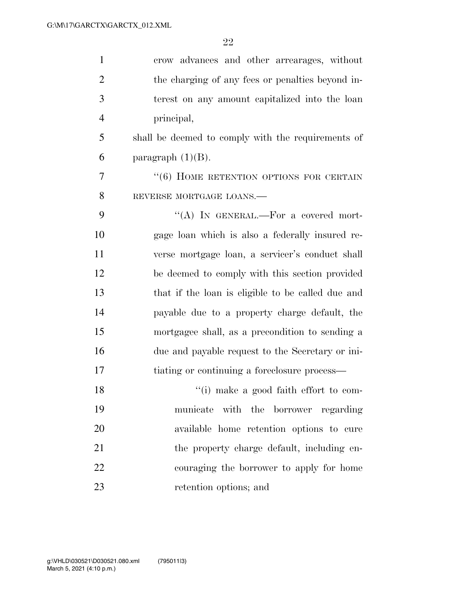| $\mathbf{1}$   | crow advances and other arrearages, without         |
|----------------|-----------------------------------------------------|
| $\overline{2}$ | the charging of any fees or penalties beyond in-    |
| 3              | terest on any amount capitalized into the loan      |
| $\overline{4}$ | principal,                                          |
| 5              | shall be deemed to comply with the requirements of  |
| 6              | paragraph $(1)(B)$ .                                |
| 7              | $\cdot\cdot$ (6) HOME RETENTION OPTIONS FOR CERTAIN |
| 8              | REVERSE MORTGAGE LOANS.                             |
| 9              | "(A) IN GENERAL.—For a covered mort-                |
| 10             | gage loan which is also a federally insured re-     |
| 11             | verse mortgage loan, a servicer's conduct shall     |
| 12             | be deemed to comply with this section provided      |
| 13             | that if the loan is eligible to be called due and   |
| 14             | payable due to a property charge default, the       |
| 15             | mortgagee shall, as a precondition to sending a     |
| 16             | due and payable request to the Secretary or ini-    |
| 17             | tiating or continuing a foreclosure process—        |
| 18             | "(i) make a good faith effort to com-               |
| 19             | municate with the borrower regarding                |
| 20             | available home retention options to cure            |
| 21             | the property charge default, including en-          |
| 22             | couraging the borrower to apply for home            |
| 23             | retention options; and                              |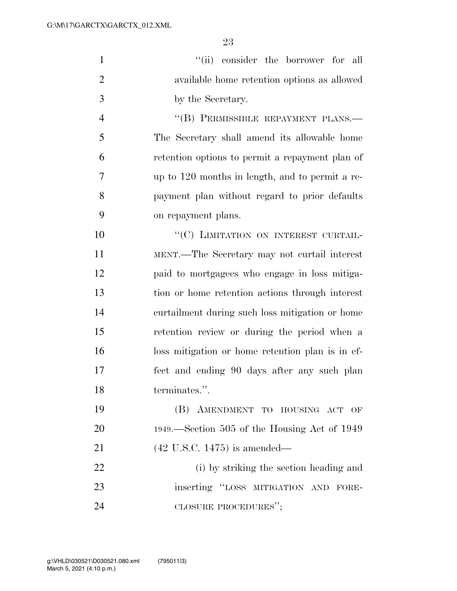| $\mathbf{1}$   | "(ii) consider the borrower for all              |
|----------------|--------------------------------------------------|
| $\overline{2}$ | available home retention options as allowed      |
| 3              | by the Secretary.                                |
| $\overline{4}$ | "(B) PERMISSIBLE REPAYMENT PLANS.-               |
| 5              | The Secretary shall amend its allowable home     |
| 6              | retention options to permit a repayment plan of  |
| 7              | up to 120 months in length, and to permit a re-  |
| 8              | payment plan without regard to prior defaults    |
| 9              | on repayment plans.                              |
| 10             | "(C) LIMITATION ON INTEREST CURTAIL-             |
| 11             | MENT.—The Secretary may not curtail interest     |
| 12             | paid to mortgagees who engage in loss mitiga-    |
| 13             | tion or home retention actions through interest  |
| 14             | curtailment during such loss mitigation or home  |
| 15             | retention review or during the period when a     |
| 16             | loss mitigation or home retention plan is in ef- |
| 17             | fect and ending 90 days after any such plan      |
| 18             | terminates.".                                    |
| 19             | (B) AMENDMENT TO HOUSING ACT<br>OF               |
| 20             | 1949.—Section 505 of the Housing Act of 1949     |
| 21             | $(42 \text{ U.S.C. } 1475)$ is amended—          |
| 22             | (i) by striking the section heading and          |
| 23             | inserting "LOSS MITIGATION AND FORE-             |
| 24             | CLOSURE PROCEDURES";                             |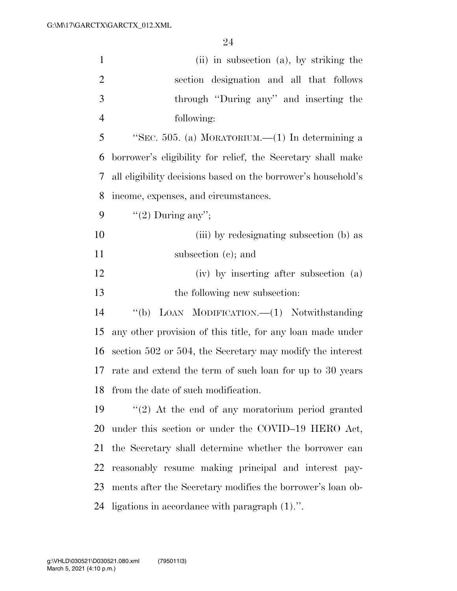| $\mathbf{1}$   | (ii) in subsection (a), by striking the                       |
|----------------|---------------------------------------------------------------|
| $\overline{2}$ | section designation and all that follows                      |
| 3              | through "During any" and inserting the                        |
| $\overline{4}$ | following:                                                    |
| 5              | "SEC. 505. (a) MORATORIUM.— $(1)$ In determining a            |
| 6              | borrower's eligibility for relief, the Secretary shall make   |
| 7              | all eligibility decisions based on the borrower's household's |
| 8              | income, expenses, and circumstances.                          |
| 9              | "(2) During any";                                             |
| 10             | (iii) by redesignating subsection (b) as                      |
| 11             | subsection $(c)$ ; and                                        |
| 12             | (iv) by inserting after subsection (a)                        |
| 13             | the following new subsection:                                 |
|                |                                                               |
| 14             | LOAN MODIFICATION.-(1) Notwithstanding<br>$\lq (b)$           |
| 15             | any other provision of this title, for any loan made under    |
| 16             | section 502 or 504, the Secretary may modify the interest     |
| 17             | rate and extend the term of such loan for up to 30 years      |
| 18             | from the date of such modification.                           |
| 19             | $\lq(2)$ At the end of any moratorium period granted          |
| 20             | under this section or under the COVID-19 HERO Act,            |
| 21             | the Secretary shall determine whether the borrower can        |
| 22             | reasonably resume making principal and interest pay-          |
| 23             | ments after the Secretary modifies the borrower's loan ob-    |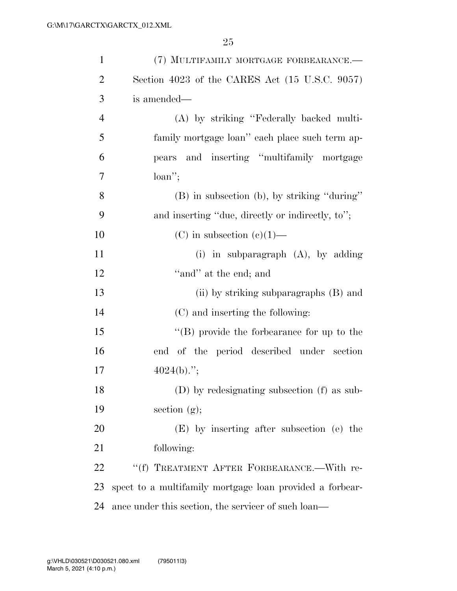| $\mathbf{1}$   | (7) MULTIFAMILY MORTGAGE FORBEARANCE.-                   |
|----------------|----------------------------------------------------------|
| $\overline{2}$ | Section 4023 of the CARES Act (15 U.S.C. 9057)           |
| 3              | is amended—                                              |
| $\overline{4}$ | (A) by striking "Federally backed multi-                 |
| 5              | family mortgage loan" each place such term ap-           |
| 6              | pears and inserting "multifamily mortgage                |
| 7              | $loan$ ";                                                |
| 8              | (B) in subsection (b), by striking "during"              |
| 9              | and inserting "due, directly or indirectly, to";         |
| 10             | (C) in subsection $(e)(1)$ —                             |
| 11             | (i) in subparagraph $(A)$ , by adding                    |
| 12             | "and" at the end; and                                    |
| 13             | (ii) by striking subparagraphs (B) and                   |
| 14             | (C) and inserting the following:                         |
| 15             | $\lq\lq (B)$ provide the forbearance for up to the       |
| 16             | end of the period described under section                |
| 17             | $4024(b)$ .";                                            |
| 18             | (D) by redesignating subsection (f) as sub-              |
| 19             | section $(g)$ ;                                          |
| 20             | (E) by inserting after subsection (e) the                |
| 21             | following:                                               |
| 22             | "(f) TREATMENT AFTER FORBEARANCE.—With re-               |
| 23             | spect to a multifamily mortgage loan provided a forbear- |
| 24             | ance under this section, the servicer of such loan—      |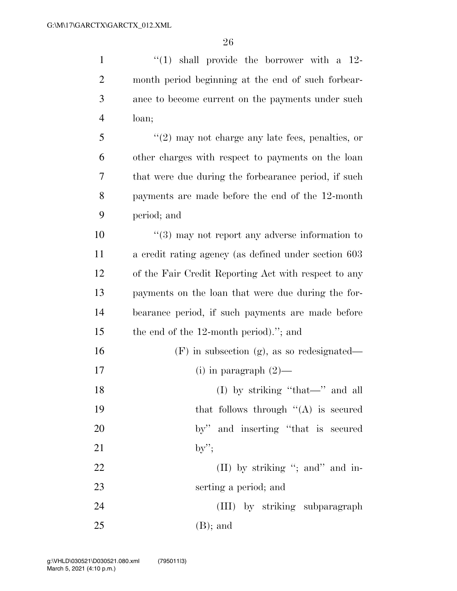1 ''(1) shall provide the borrower with a 12-

| $\overline{2}$ | month period beginning at the end of such forbear-   |
|----------------|------------------------------------------------------|
| 3              | ance to become current on the payments under such    |
| $\overline{4}$ | loan;                                                |
| 5              | $"(2)$ may not charge any late fees, penalties, or   |
| 6              | other charges with respect to payments on the loan   |
| 7              | that were due during the forbearance period, if such |
| 8              | payments are made before the end of the 12-month     |
| 9              | period; and                                          |
| 10             | $(3)$ may not report any adverse information to      |
| 11             | a credit rating agency (as defined under section 603 |
| 12             | of the Fair Credit Reporting Act with respect to any |
| 13             | payments on the loan that were due during the for-   |
| 14             | bearance period, if such payments are made before    |
| 15             | the end of the 12-month period)."; and               |
| 16             | $(F)$ in subsection $(g)$ , as so redesignated—      |
| 17             | (i) in paragraph $(2)$ —                             |
| 18             | (I) by striking "that-" and all                      |
| 19             | that follows through $((A)$ is secured               |
| 20             | by" and inserting "that is secured                   |
| 21             | $by$ ";                                              |
| 22             | (II) by striking "; and" and in-                     |
| 23             | serting a period; and                                |
|                |                                                      |

 (III) by striking subparagraph (B); and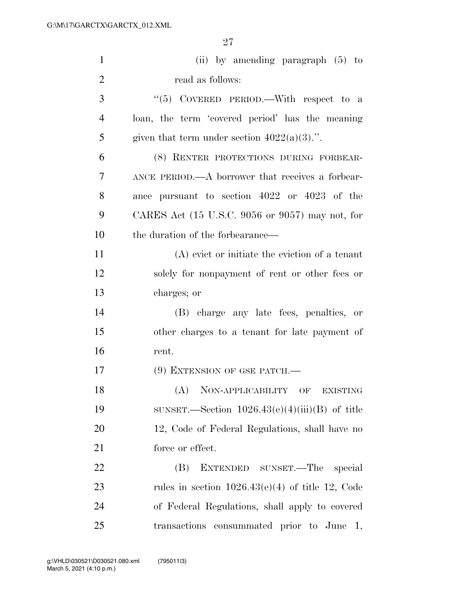| $\mathbf{1}$   | (ii) by amending paragraph $(5)$ to                                 |
|----------------|---------------------------------------------------------------------|
| $\overline{2}$ | read as follows:                                                    |
| 3              | "(5) COVERED PERIOD.—With respect to a                              |
| $\overline{4}$ | loan, the term 'covered period' has the meaning                     |
| 5              | given that term under section $4022(a)(3)$ .".                      |
| 6              | (8) RENTER PROTECTIONS DURING FORBEAR-                              |
| 7              | ANCE PERIOD.—A borrower that receives a forbear-                    |
| 8              | ance pursuant to section 4022 or 4023 of the                        |
| 9              | CARES Act $(15 \text{ U.S.C. } 9056 \text{ or } 9057)$ may not, for |
| 10             | the duration of the forbearance—                                    |
| 11             | $(A)$ evict or initiate the eviction of a tenant                    |
| 12             | solely for nonpayment of rent or other fees or                      |
| 13             | charges; or                                                         |
| 14             | (B) charge any late fees, penalties, or                             |
| 15             | other charges to a tenant for late payment of                       |
| 16             | rent.                                                               |
| 17             | $(9)$ EXTENSION OF GSE PATCH.—                                      |
| 18             | (A)<br>NON-APPLICABILITY OF<br><b>EXISTING</b>                      |
| 19             | SUNSET.—Section $1026.43(e)(4)(iii)(B)$ of title                    |
| 20             | 12, Code of Federal Regulations, shall have no                      |
| 21             | force or effect.                                                    |
| 22             | EXTENDED SUNSET.—The<br>(B)<br>special                              |
| 23             | rules in section $1026.43(e)(4)$ of title 12, Code                  |
| 24             | of Federal Regulations, shall apply to covered                      |
| 25             | transactions consummated prior to June 1,                           |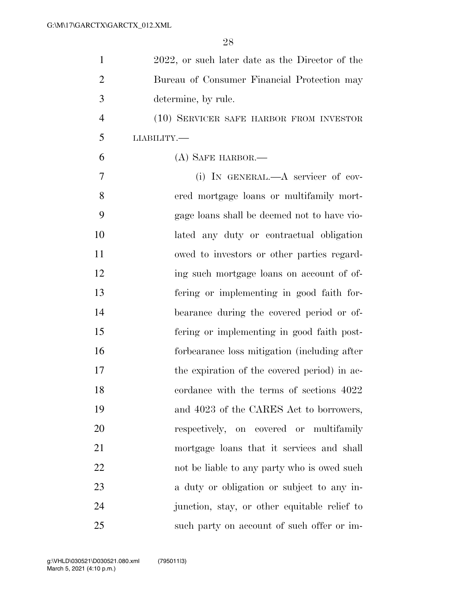| $\mathbf{1}$   | 2022, or such later date as the Director of the |
|----------------|-------------------------------------------------|
| $\overline{2}$ | Bureau of Consumer Financial Protection may     |
| 3              | determine, by rule.                             |
| $\overline{4}$ | (10) SERVICER SAFE HARBOR FROM INVESTOR         |
| 5              | <b>LIABILITY.—</b>                              |
| 6              | (A) SAFE HARBOR.—                               |
| 7              | (i) IN GENERAL.—A servicer of cov-              |
| 8              | ered mortgage loans or multifamily mort-        |
| 9              | gage loans shall be deemed not to have vio-     |
| 10             | lated any duty or contractual obligation        |
| 11             | owed to investors or other parties regard-      |
| 12             | ing such mortgage loans on account of of-       |
| 13             | fering or implementing in good faith for-       |
| 14             | bearance during the covered period or of-       |
| 15             | fering or implementing in good faith post-      |
| 16             | forbearance loss mitigation (including after    |
| 17             | the expiration of the covered period) in ac-    |
| 18             | cordance with the terms of sections 4022        |
| 19             | and 4023 of the CARES Act to borrowers,         |
| 20             | respectively, on covered or multifamily         |
| 21             | mortgage loans that it services and shall       |
| 22             | not be liable to any party who is owed such     |
| 23             | a duty or obligation or subject to any in-      |
| 24             | junction, stay, or other equitable relief to    |
| 25             | such party on account of such offer or im-      |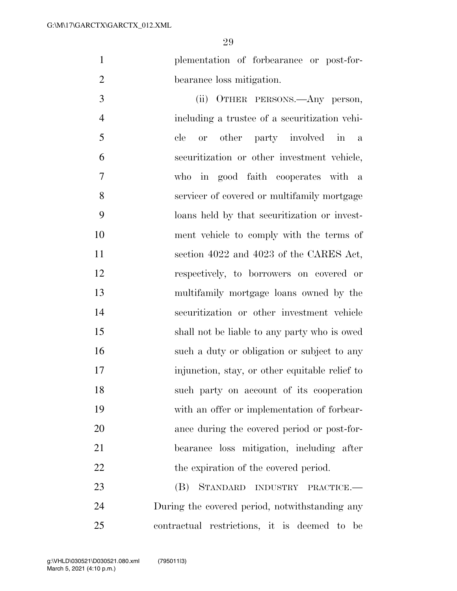plementation of forbearance or post-for-bearance loss mitigation.

 (ii) OTHER PERSONS.—Any person, including a trustee of a securitization vehi- cle or other party involved in a securitization or other investment vehicle, who in good faith cooperates with a servicer of covered or multifamily mortgage loans held by that securitization or invest- ment vehicle to comply with the terms of 11 section 4022 and 4023 of the CARES Act, respectively, to borrowers on covered or multifamily mortgage loans owned by the securitization or other investment vehicle shall not be liable to any party who is owed such a duty or obligation or subject to any injunction, stay, or other equitable relief to such party on account of its cooperation with an offer or implementation of forbear- ance during the covered period or post-for- bearance loss mitigation, including after 22 the expiration of the covered period.

 (B) STANDARD INDUSTRY PRACTICE.— During the covered period, notwithstanding any contractual restrictions, it is deemed to be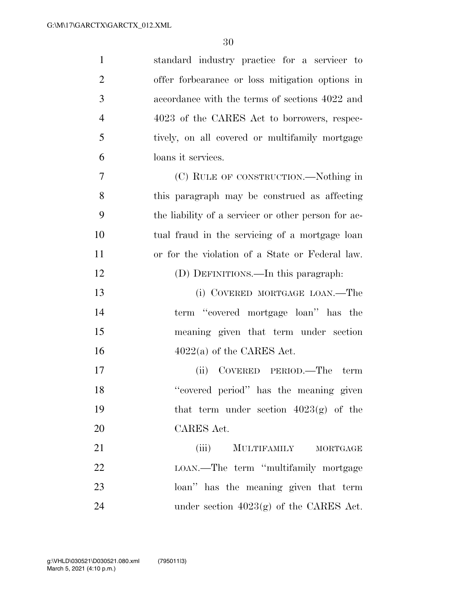| $\mathbf{1}$   | standard industry practice for a servicer to        |
|----------------|-----------------------------------------------------|
| $\overline{2}$ | offer forbearance or loss mitigation options in     |
| 3              | accordance with the terms of sections 4022 and      |
| $\overline{4}$ | 4023 of the CARES Act to borrowers, respec-         |
| 5              | tively, on all covered or multifamily mortgage      |
| 6              | loans it services.                                  |
| 7              | (C) RULE OF CONSTRUCTION.—Nothing in                |
| 8              | this paragraph may be construed as affecting        |
| 9              | the liability of a servicer or other person for ac- |
| 10             | tual fraud in the servicing of a mortgage loan      |
| 11             | or for the violation of a State or Federal law.     |
| 12             | (D) DEFINITIONS.—In this paragraph:                 |
| 13             | (i) COVERED MORTGAGE LOAN.—The                      |
| 14             | term "covered mortgage loan" has the                |
| 15             | meaning given that term under section               |
| 16             | $4022(a)$ of the CARES Act.                         |
| 17             | (ii) COVERED PERIOD.—The<br>term                    |
| 18             | "covered period" has the meaning given              |
| 19             | that term under section $4023(g)$ of the            |
| 20             | CARES Act.                                          |
| 21             | (iii)<br>MULTIFAMILY MORTGAGE                       |
| 22             | LOAN.—The term "multifamily mortgage                |
| 23             | loan" has the meaning given that term               |
| 24             | under section $4023(g)$ of the CARES Act.           |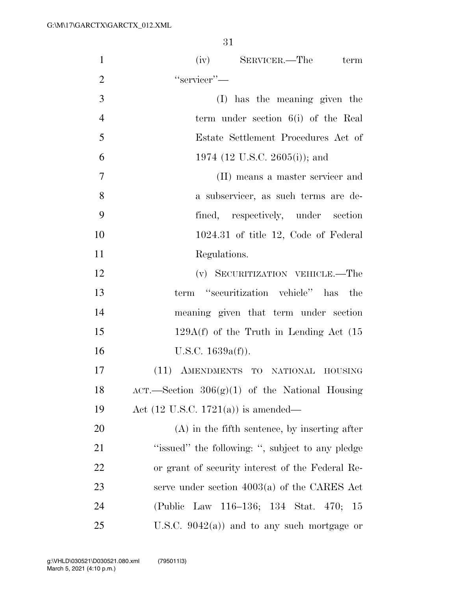| $\mathbf{1}$   | (iv) SERVICER.—The term                            |
|----------------|----------------------------------------------------|
| $\overline{2}$ | "servicer"-                                        |
| 3              | (I) has the meaning given the                      |
| $\overline{4}$ | term under section 6(i) of the Real                |
| 5              | Estate Settlement Procedures Act of                |
| 6              | 1974 (12 U.S.C. 2605(i)); and                      |
| 7              | (II) means a master servicer and                   |
| 8              | a subservicer, as such terms are de-               |
| 9              | fined, respectively, under section                 |
| 10             | $1024.31$ of title 12, Code of Federal             |
| 11             | Regulations.                                       |
| 12             | (v) SECURITIZATION VEHICLE.—The                    |
| 13             | term "securitization vehicle" has the              |
| 14             | meaning given that term under section              |
| 15             | $129A(f)$ of the Truth in Lending Act $(15$        |
| 16             | U.S.C. $1639a(f)$ ).                               |
| 17             | (11) AMENDMENTS TO NATIONAL HOUSING                |
| 18             | $ACT.$ Section $306(g)(1)$ of the National Housing |
| 19             | Act $(12 \text{ U.S.C. } 1721(a))$ is amended—     |
| 20             | $(A)$ in the fifth sentence, by inserting after    |
| 21             | "issued" the following: ", subject to any pledge   |
| 22             | or grant of security interest of the Federal Re-   |
| 23             | serve under section $4003(a)$ of the CARES Act     |
| 24             | (Public Law 116–136; 134 Stat. 470; 15             |
| 25             | U.S.C. $9042(a)$ ) and to any such mortgage or     |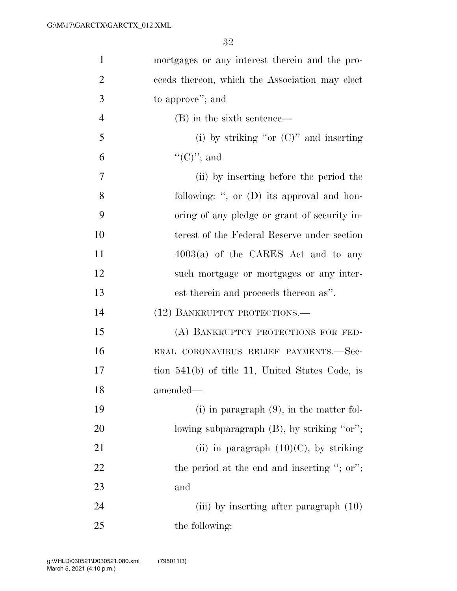| $\mathbf{1}$   | mortgages or any interest therein and the pro-  |
|----------------|-------------------------------------------------|
| $\overline{2}$ | ceeds thereon, which the Association may elect  |
| 3              | to approve"; and                                |
| $\overline{4}$ | (B) in the sixth sentence—                      |
| 5              | (i) by striking "or $(C)$ " and inserting       |
| 6              | $\lq\lq$ (C)''; and                             |
| 7              | (ii) by inserting before the period the         |
| 8              | following: ", or (D) its approval and hon-      |
| 9              | oring of any pledge or grant of security in-    |
| 10             | terest of the Federal Reserve under section     |
| 11             | $4003(a)$ of the CARES Act and to any           |
| 12             | such mortgage or mortgages or any inter-        |
| 13             | est therein and proceeds thereon as".           |
| 14             | (12) BANKRUPTCY PROTECTIONS.—                   |
| 15             | (A) BANKRUPTCY PROTECTIONS FOR FED-             |
| 16             | ERAL CORONAVIRUS RELIEF PAYMENTS.—Sec-          |
| 17             | tion 541(b) of title 11, United States Code, is |
| 18             | amended—                                        |
| 19             | $(i)$ in paragraph $(9)$ , in the matter fol-   |
| 20             | lowing subparagraph (B), by striking "or";      |
| 21             | (ii) in paragraph $(10)(C)$ , by striking       |
| 22             | the period at the end and inserting "; or";     |
| 23             | and                                             |
| 24             | (iii) by inserting after paragraph $(10)$       |
| 25             | the following:                                  |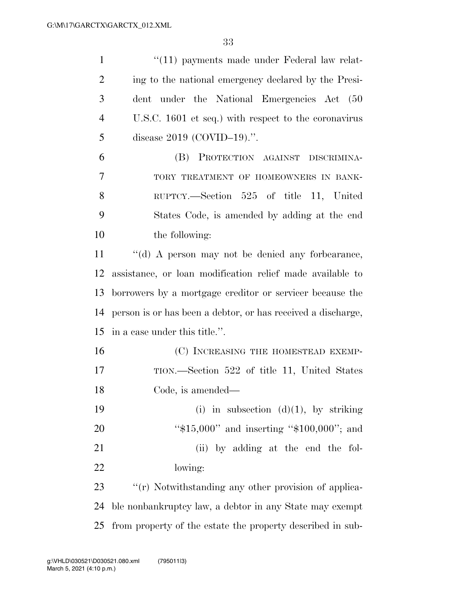| $\mathbf{1}$   | "(11) payments made under Federal law relat-                 |
|----------------|--------------------------------------------------------------|
| $\overline{2}$ | ing to the national emergency declared by the Presi-         |
| 3              | dent under the National Emergencies Act (50                  |
| $\overline{4}$ | U.S.C. 1601 et seq.) with respect to the coronavirus         |
| 5              | disease $2019$ (COVID-19).".                                 |
| 6              | (B) PROTECTION AGAINST DISCRIMINA-                           |
| 7              | TORY TREATMENT OF HOMEOWNERS IN BANK-                        |
| 8              | RUPTCY.—Section 525 of title 11, United                      |
| 9              | States Code, is amended by adding at the end                 |
| 10             | the following:                                               |
| 11             | "(d) A person may not be denied any forbearance,             |
| 12             | assistance, or loan modification relief made available to    |
| 13             | borrowers by a mortgage creditor or servicer because the     |
| 14             | person is or has been a debtor, or has received a discharge, |
| 15             | in a case under this title.".                                |
| 16             | (C) INCREASING THE HOMESTEAD EXEMP-                          |
| 17             | TION.—Section 522 of title 11, United States                 |
| 18             | Code, is amended—                                            |
| 19             | (i) in subsection $(d)(1)$ , by striking                     |
| 20             | " $$15,000"$ and inserting " $$100,000"$ ; and               |
| 21             | (ii) by adding at the end the fol-                           |
| 22             | lowing:                                                      |
| 23             | "(r) Notwithstanding any other provision of applica-         |
| 24             | ble nonbankruptcy law, a debtor in any State may exempt      |
| 25             | from property of the estate the property described in sub-   |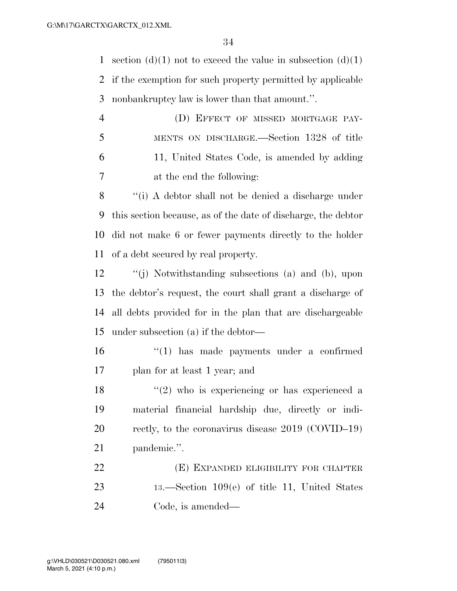1 section (d)(1) not to exceed the value in subsection (d)(1) if the exemption for such property permitted by applicable nonbankruptcy law is lower than that amount.''.

 (D) EFFECT OF MISSED MORTGAGE PAY- MENTS ON DISCHARGE.—Section 1328 of title 11, United States Code, is amended by adding at the end the following:

 ''(i) A debtor shall not be denied a discharge under this section because, as of the date of discharge, the debtor did not make 6 or fewer payments directly to the holder of a debt secured by real property.

 ''(j) Notwithstanding subsections (a) and (b), upon the debtor's request, the court shall grant a discharge of all debts provided for in the plan that are dischargeable under subsection (a) if the debtor—

 ''(1) has made payments under a confirmed plan for at least 1 year; and

 $(2)$  who is experiencing or has experienced a material financial hardship due, directly or indi- rectly, to the coronavirus disease 2019 (COVID–19) pandemic.''.

 (E) EXPANDED ELIGIBILITY FOR CHAPTER 13.—Section 109(e) of title 11, United States Code, is amended—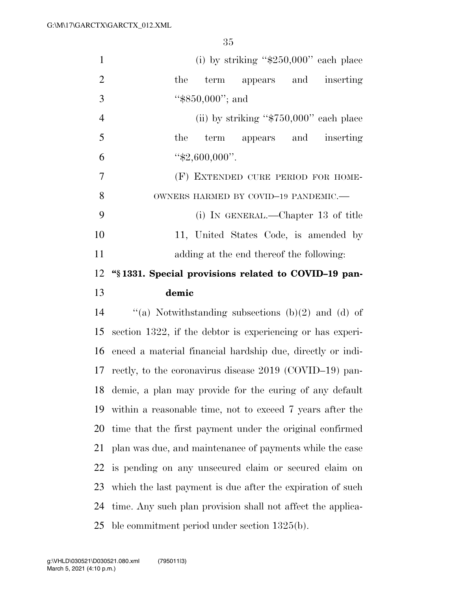| $\mathbf{1}$   | (i) by striking " $$250,000"$ each place                    |
|----------------|-------------------------------------------------------------|
| $\overline{2}$ | term appears and inserting<br>the                           |
| 3              | " $$850,000"$ ; and                                         |
| $\overline{4}$ | (ii) by striking " $$750,000"$ each place                   |
| 5              | term appears and inserting<br>the                           |
| 6              | " $$2,600,000$ ".                                           |
| 7              | (F) EXTENDED CURE PERIOD FOR HOME-                          |
| 8              | OWNERS HARMED BY COVID-19 PANDEMIC.-                        |
| 9              | (i) IN GENERAL.—Chapter 13 of title                         |
| 10             | 11, United States Code, is amended by                       |
| 11             | adding at the end thereof the following:                    |
| 12             | "\\$1331. Special provisions related to COVID-19 pan-       |
| 13             | demic                                                       |
| 14             | "(a) Notwithstanding subsections $(b)(2)$ and $(d)$ of      |
| 15             | section 1322, if the debtor is experiencing or has experi-  |
|                |                                                             |
| 16             | enced a material financial hardship due, directly or indi-  |
|                | 17 rectly, to the coronavirus disease 2019 (COVID-19) pan-  |
| 18             | demic, a plan may provide for the curing of any default     |
| 19             | within a reasonable time, not to exceed 7 years after the   |
|                | time that the first payment under the original confirmed    |
| 20<br>21       | plan was due, and maintenance of payments while the case    |
| 22             | is pending on any unsecured claim or secured claim on       |
| 23             | which the last payment is due after the expiration of such  |
| 24             | time. Any such plan provision shall not affect the applica- |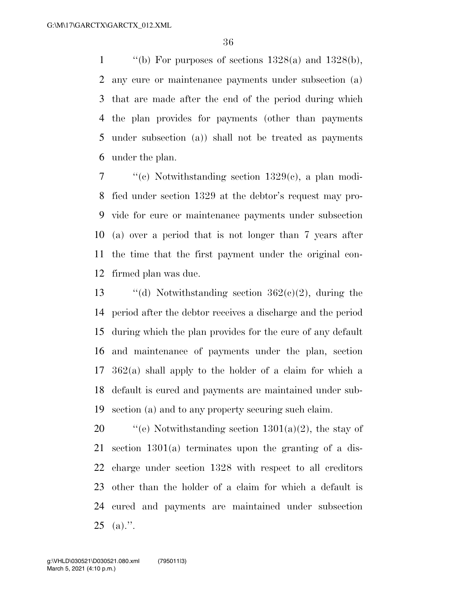$\qquad$  "(b) For purposes of sections 1328(a) and 1328(b), any cure or maintenance payments under subsection (a) that are made after the end of the period during which the plan provides for payments (other than payments under subsection (a)) shall not be treated as payments under the plan.

 ''(c) Notwithstanding section 1329(c), a plan modi- fied under section 1329 at the debtor's request may pro- vide for cure or maintenance payments under subsection (a) over a period that is not longer than 7 years after the time that the first payment under the original con-firmed plan was due.

 $\qquad$  "(d) Notwithstanding section 362(c)(2), during the period after the debtor receives a discharge and the period during which the plan provides for the cure of any default and maintenance of payments under the plan, section 362(a) shall apply to the holder of a claim for which a default is cured and payments are maintained under sub-section (a) and to any property securing such claim.

 $\frac{120}{100}$  ''(e) Notwithstanding section 1301(a)(2), the stay of section 1301(a) terminates upon the granting of a dis- charge under section 1328 with respect to all creditors other than the holder of a claim for which a default is cured and payments are maintained under subsection (a).".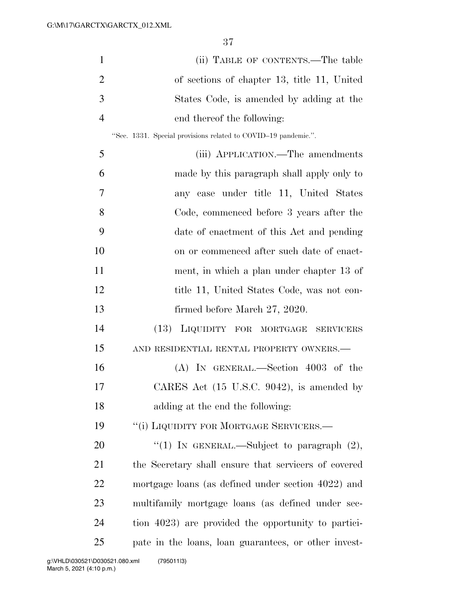| $\mathbf{1}$   | (ii) TABLE OF CONTENTS.—The table                              |
|----------------|----------------------------------------------------------------|
| $\overline{2}$ | of sections of chapter 13, title 11, United                    |
| 3              | States Code, is amended by adding at the                       |
| $\overline{4}$ | end thereof the following:                                     |
|                | "Sec. 1331. Special provisions related to COVID-19 pandemic.". |
| 5              | (iii) APPLICATION.—The amendments                              |
| 6              | made by this paragraph shall apply only to                     |
| 7              | any case under title 11, United States                         |
| 8              | Code, commenced before 3 years after the                       |
| 9              | date of enactment of this Act and pending                      |
| 10             | on or commenced after such date of enact-                      |
| 11             | ment, in which a plan under chapter 13 of                      |
| 12             | title 11, United States Code, was not con-                     |
| 13             | firmed before March 27, 2020.                                  |
| 14             | (13) LIQUIDITY FOR MORTGAGE<br><b>SERVICERS</b>                |
| 15             | AND RESIDENTIAL RENTAL PROPERTY OWNERS.—                       |
| 16             | $(A)$ In GENERAL.—Section 4003 of the                          |
| 17             | CARES Act (15 U.S.C. 9042), is amended by                      |
| 18             | adding at the end the following:                               |
| 19             | "(i) LIQUIDITY FOR MORTGAGE SERVICERS.—                        |
| 20             | "(1) IN GENERAL.—Subject to paragraph $(2)$ ,                  |
| 21             | the Secretary shall ensure that servicers of covered           |
| 22             | mortgage loans (as defined under section 4022) and             |
| 23             | multifamily mortgage loans (as defined under sec-              |
| 24             | tion 4023) are provided the opportunity to partici-            |
| 25             | pate in the loans, loan guarantees, or other invest-           |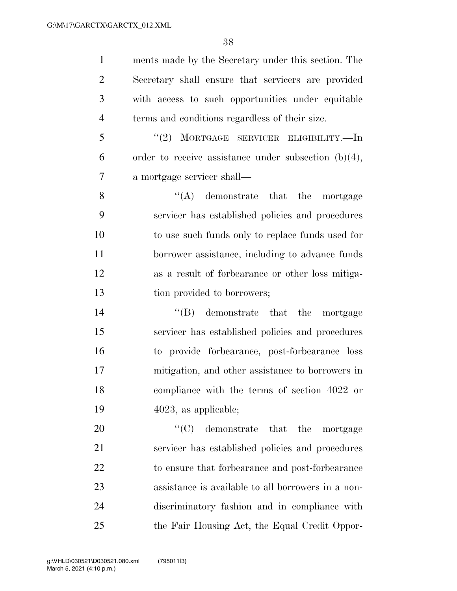ments made by the Secretary under this section. The Secretary shall ensure that servicers are provided with access to such opportunities under equitable terms and conditions regardless of their size. ''(2) MORTGAGE SERVICER ELIGIBILITY.—In 6 order to receive assistance under subsection  $(b)(4)$ ,

 a mortgage servicer shall— 8 ''(A) demonstrate that the mortgage servicer has established policies and procedures to use such funds only to replace funds used for borrower assistance, including to advance funds as a result of forbearance or other loss mitiga-13 tion provided to borrowers;

14 ''(B) demonstrate that the mortgage servicer has established policies and procedures to provide forbearance, post-forbearance loss mitigation, and other assistance to borrowers in compliance with the terms of section 4022 or 4023, as applicable;

 $\text{``(C)}$  demonstrate that the mortgage servicer has established policies and procedures to ensure that forbearance and post-forbearance assistance is available to all borrowers in a non- discriminatory fashion and in compliance with the Fair Housing Act, the Equal Credit Oppor-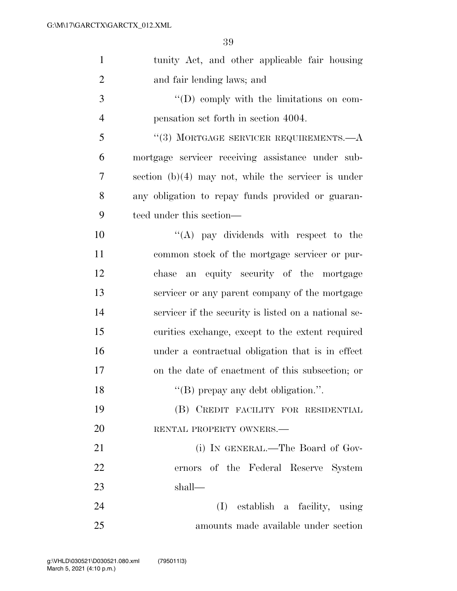| $\mathbf{1}$   | tunity Act, and other applicable fair housing         |
|----------------|-------------------------------------------------------|
| $\overline{2}$ | and fair lending laws; and                            |
| 3              | $\lq\lq$ (D) comply with the limitations on com-      |
| $\overline{4}$ | pensation set forth in section 4004.                  |
| 5              | $(3)$ MORTGAGE SERVICER REQUIREMENTS.— $A$            |
| 6              | mortgage servicer receiving assistance under sub-     |
| 7              | section $(b)(4)$ may not, while the servicer is under |
| 8              | any obligation to repay funds provided or guaran-     |
| 9              | teed under this section—                              |
| 10             | $\lq\lq$ (A) pay dividends with respect to the        |
| 11             | common stock of the mortgage servicer or pur-         |
| 12             | an equity security of the mortgage<br>chase           |
| 13             | servicer or any parent company of the mortgage        |
| 14             | servicer if the security is listed on a national se-  |
| 15             | curities exchange, except to the extent required      |
| 16             | under a contractual obligation that is in effect      |
| 17             | on the date of enactment of this subsection; or       |
| 18             | "(B) prepay any debt obligation.".                    |
| 19             | (B) CREDIT FACILITY FOR RESIDENTIAL                   |
| 20             | RENTAL PROPERTY OWNERS.                               |
| 21             | (i) IN GENERAL.—The Board of Gov-                     |
| 22             | ernors of the Federal Reserve System                  |
| 23             | shall-                                                |
| 24             | (I) establish a facility, using                       |
| 25             | amounts made available under section                  |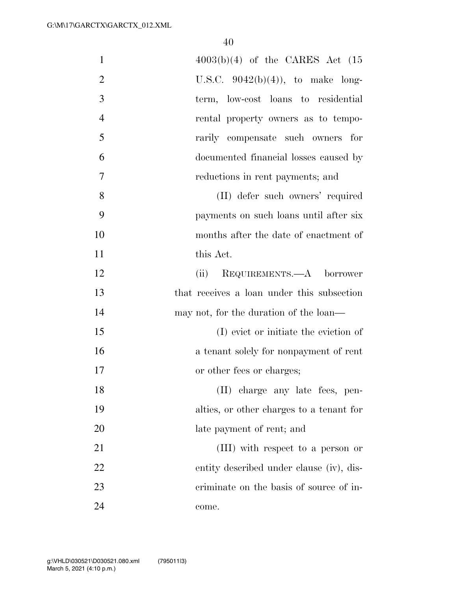| $\mathbf{1}$   | $4003(b)(4)$ of the CARES Act $(15)$       |
|----------------|--------------------------------------------|
| $\overline{2}$ | U.S.C. $9042(b)(4)$ , to make long-        |
| 3              | term, low-cost loans to residential        |
| $\overline{4}$ | rental property owners as to tempo-        |
| 5              | rarily compensate such owners for          |
| 6              | documented financial losses caused by      |
| 7              | reductions in rent payments; and           |
| 8              | (II) defer such owners' required           |
| 9              | payments on such loans until after six     |
| 10             | months after the date of enactment of      |
| 11             | this Act.                                  |
| 12             | (ii) REQUIREMENTS.—A borrower              |
| 13             | that receives a loan under this subsection |
| 14             | may not, for the duration of the loan—     |
| 15             | (I) evict or initiate the eviction of      |
| 16             | a tenant solely for nonpayment of rent     |
| 17             | or other fees or charges;                  |
| 18             | (II) charge any late fees, pen-            |
| 19             | alties, or other charges to a tenant for   |
| 20             | late payment of rent; and                  |
| 21             | (III) with respect to a person or          |
| 22             | entity described under clause (iv), dis-   |
| 23             | criminate on the basis of source of in-    |
| 24             | come.                                      |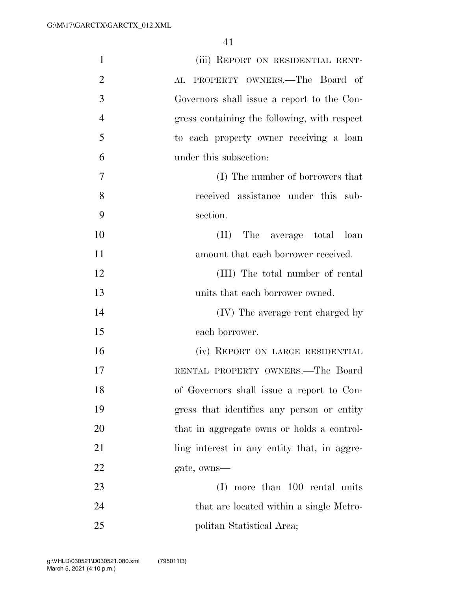| $\mathbf{1}$   | (iii) REPORT ON RESIDENTIAL RENT-            |
|----------------|----------------------------------------------|
| $\overline{2}$ | PROPERTY OWNERS.-The Board of<br>AL          |
| 3              | Governors shall issue a report to the Con-   |
| $\overline{4}$ | gress containing the following, with respect |
| 5              | to each property owner receiving a loan      |
| 6              | under this subsection:                       |
| 7              | (I) The number of borrowers that             |
| 8              | received assistance under this sub-          |
| 9              | section.                                     |
| 10             | The average total loan<br>(II)               |
| 11             | amount that each borrower received.          |
| 12             | (III) The total number of rental             |
| 13             | units that each borrower owned.              |
| 14             | (IV) The average rent charged by             |
| 15             | each borrower.                               |
| 16             | (iv) REPORT ON LARGE RESIDENTIAL             |
| 17             | RENTAL PROPERTY OWNERS.—The Board            |
| 18             | of Governors shall issue a report to Con-    |
| 19             | gress that identifies any person or entity   |
| 20             | that in aggregate owns or holds a control-   |
| 21             | ling interest in any entity that, in aggre-  |
| 22             | gate, owns—                                  |
| 23             | more than 100 rental units<br>(I)            |
| 24             | that are located within a single Metro-      |
| 25             | politan Statistical Area;                    |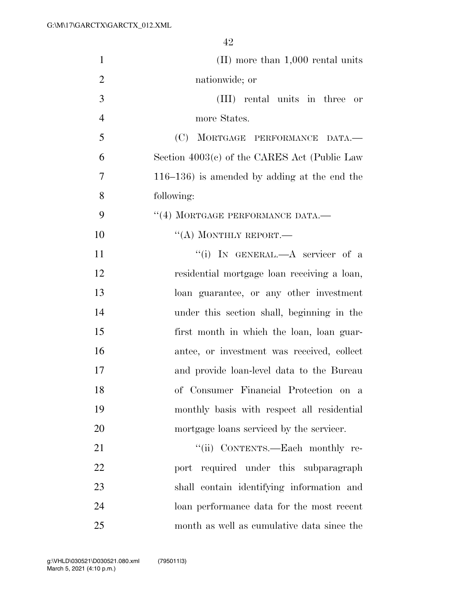| $\mathbf{1}$   | $(II)$ more than 1,000 rental units             |
|----------------|-------------------------------------------------|
| $\overline{2}$ | nationwide; or                                  |
| 3              | (III) rental units in three or                  |
| $\overline{4}$ | more States.                                    |
| 5              | (C) MORTGAGE PERFORMANCE DATA.-                 |
| 6              | Section $4003(c)$ of the CARES Act (Public Law  |
| 7              | $116-136$ ) is amended by adding at the end the |
| 8              | following:                                      |
| 9              | "(4) MORTGAGE PERFORMANCE DATA.-                |
| 10             | $\lq\lq$ (A) MONTHLY REPORT.—                   |
| 11             | "(i) IN GENERAL.—A servicer of a                |
| 12             | residential mortgage loan receiving a loan,     |
| 13             | loan guarantee, or any other investment         |
| 14             | under this section shall, beginning in the      |
| 15             | first month in which the loan, loan guar-       |
| 16             | antee, or investment was received, collect      |
| 17             | and provide loan-level data to the Bureau       |
| 18             | of Consumer Financial Protection on a           |
| 19             | monthly basis with respect all residential      |
| 20             | mortgage loans serviced by the servicer.        |
| 21             | "(ii) CONTENTS.—Each monthly re-                |
| 22             | port required under this subparagraph           |
| 23             | shall contain identifying information and       |
| 24             | loan performance data for the most recent       |
| 25             | month as well as cumulative data since the      |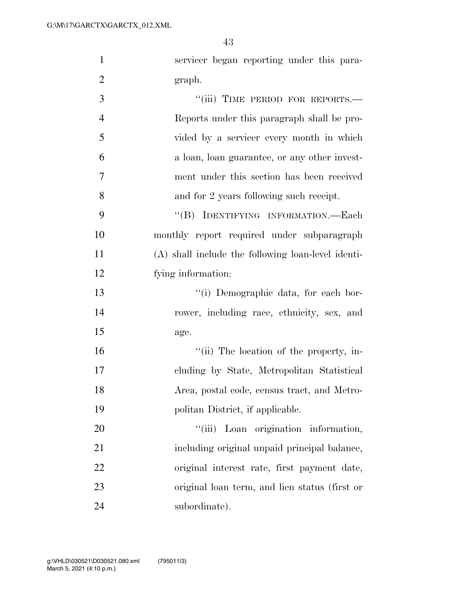| $\mathbf{1}$   | servicer began reporting under this para-          |
|----------------|----------------------------------------------------|
| $\overline{2}$ | graph.                                             |
| 3              | "(iii) TIME PERIOD FOR REPORTS.-                   |
| $\overline{4}$ | Reports under this paragraph shall be pro-         |
| 5              | vided by a servicer every month in which           |
| 6              | a loan, loan guarantee, or any other invest-       |
| 7              | ment under this section has been received          |
| 8              | and for 2 years following such receipt.            |
| 9              | "(B) IDENTIFYING INFORMATION.—Each                 |
| 10             | monthly report required under subparagraph         |
| 11             | (A) shall include the following loan-level identi- |
| 12             | fying information:                                 |
| 13             | "(i) Demographic data, for each bor-               |
| 14             | rower, including race, ethnicity, sex, and         |
| 15             | age.                                               |
| 16             | "(ii) The location of the property, in-            |
| 17             | cluding by State, Metropolitan Statistical         |
| 18             | Area, postal code, census tract, and Metro-        |
| 19             | politan District, if applicable.                   |
| 20             | ``(iii)<br>Loan origination information,           |
| 21             | including original unpaid principal balance,       |
| 22             | original interest rate, first payment date,        |
| 23             | original loan term, and lien status (first or      |
| 24             | subordinate).                                      |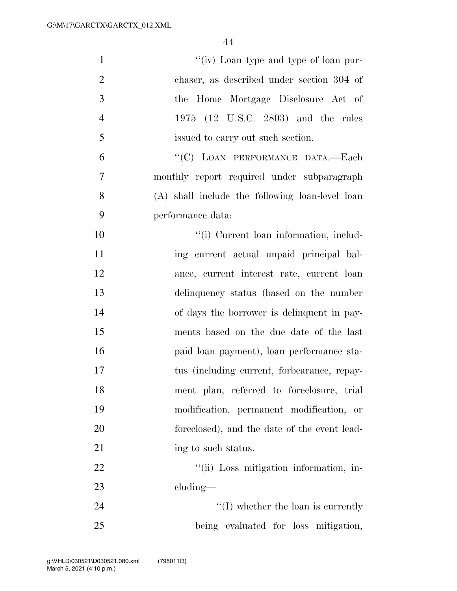| $\mathbf{1}$   | "(iv) Loan type and type of loan pur-           |
|----------------|-------------------------------------------------|
| $\overline{2}$ | chaser, as described under section 304 of       |
| 3              | the Home Mortgage Disclosure Act of             |
| $\overline{4}$ | 1975 (12 U.S.C. 2803) and the rules             |
| 5              | issued to carry out such section.               |
| 6              | "(C) LOAN PERFORMANCE DATA.-Each                |
| $\overline{7}$ | monthly report required under subparagraph      |
| 8              | (A) shall include the following loan-level loan |
| 9              | performance data:                               |
| 10             | "(i) Current loan information, includ-          |
| 11             | ing current actual unpaid principal bal-        |
| 12             | ance, current interest rate, current loan       |
| 13             | delinquency status (based on the number         |
| 14             | of days the borrower is delinquent in pay-      |
| 15             | ments based on the due date of the last         |
| 16             | paid loan payment), loan performance sta-       |
| 17             | tus (including current, forbearance, repay-     |
| 18             | ment plan, referred to foreclosure, trial       |
| 19             | modification, permanent modification, or        |
| 20             | foreclosed), and the date of the event lead-    |
| 21             | ing to such status.                             |
| 22             | "(ii) Loss mitigation information, in-          |
| 23             | $cluding$ —                                     |
| 24             | $\lq\lq$ (I) whether the loan is currently      |
| 25             | being evaluated for loss mitigation,            |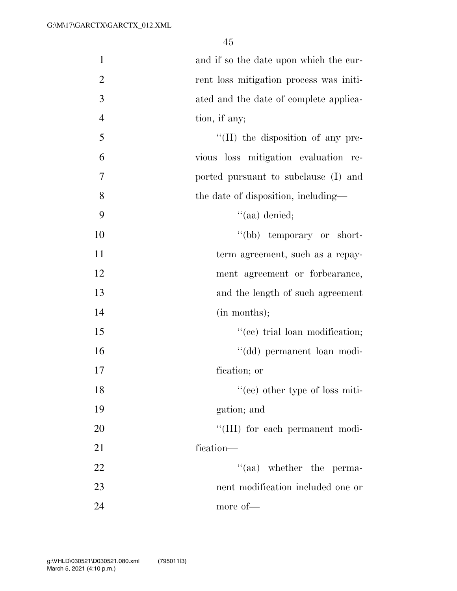| $\mathbf{1}$     | and if so the date upon which the cur-    |
|------------------|-------------------------------------------|
| $\overline{c}$   | rent loss mitigation process was initi-   |
| $\overline{3}$   | ated and the date of complete applica-    |
| $\overline{4}$   | tion, if any;                             |
| 5                | $\lq\lq$ (II) the disposition of any pre- |
| 6                | vious loss mitigation evaluation re-      |
| $\boldsymbol{7}$ | ported pursuant to subclause (I) and      |
| 8                | the date of disposition, including-       |
| 9                | $``(aa)$ denied;                          |
| 10               | "(bb) temporary or short-                 |
| 11               | term agreement, such as a repay-          |
| 12               | ment agreement or forbearance,            |
| 13               | and the length of such agreement          |
| 14               | (in months);                              |
| 15               | "(ee) trial loan modification;            |
| 16               | "(dd) permanent loan modi-                |
| 17               | fication; or                              |
| 18               | "(ee) other type of loss miti-            |
| 19               | gation; and                               |
| 20               | "(III) for each permanent modi-           |
| 21               | fication-                                 |
| 22               | $\cdot$ (aa) whether the perma-           |
| 23               | nent modification included one or         |
| 24               | more of-                                  |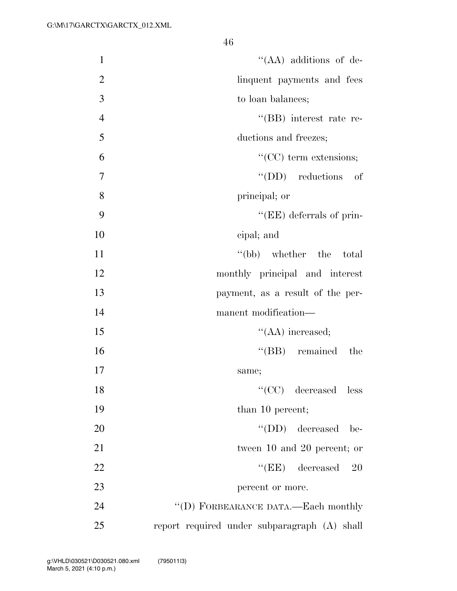| $\mathbf{1}$   | "(AA) additions of de-                       |
|----------------|----------------------------------------------|
| $\overline{2}$ | linquent payments and fees                   |
| 3              | to loan balances;                            |
| $\overline{4}$ | "(BB) interest rate re-                      |
| 5              | ductions and freezes;                        |
| 6              | $\lq\lq$ (CC) term extensions;               |
| 7              | $\lq\lq$ (DD) reductions of                  |
| 8              | principal; or                                |
| 9              | "(EE) deferrals of prin-                     |
| 10             | cipal; and                                   |
| 11             | "(bb) whether the total                      |
| 12             | monthly principal and interest               |
| 13             | payment, as a result of the per-             |
| 14             | manent modification—                         |
| 15             | $\lq\lq$ (AA) increased;                     |
| 16             | $\lq\lq$ (BB) remained the                   |
| 17             | same;                                        |
| 18             | $``(CC)$ decreased less                      |
| 19             | than 10 percent;                             |
| 20             | $\lq\lq$ (DD) decreased be-                  |
| 21             | tween 10 and 20 percent; or                  |
| 22             | $\lq\lq(EE)$ decreased<br><b>20</b>          |
| 23             | percent or more.                             |
| 24             | "(D) FORBEARANCE DATA.—Each monthly          |
| 25             | report required under subparagraph (A) shall |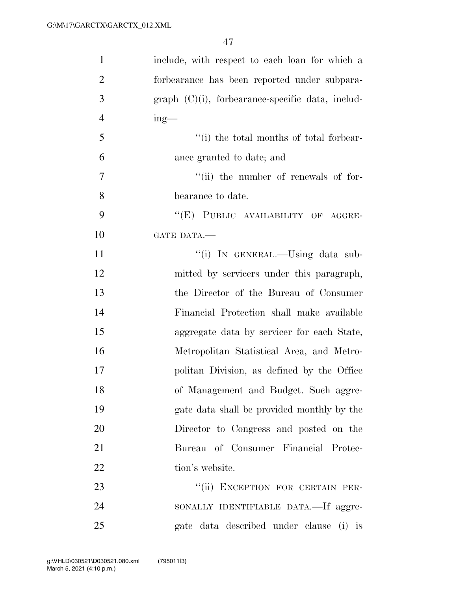| $\mathbf{1}$   | include, with respect to each loan for which a      |
|----------------|-----------------------------------------------------|
| $\overline{2}$ | forbearance has been reported under subpara-        |
| 3              | $graph (C)(i)$ , forbearance-specific data, includ- |
| $\overline{4}$ | $ing$ —                                             |
| 5              | "(i) the total months of total forbear-             |
| 6              | ance granted to date; and                           |
| $\overline{7}$ | "(ii) the number of renewals of for-                |
| 8              | bearance to date.                                   |
| 9              | "(E) PUBLIC AVAILABILITY OF AGGRE-                  |
| 10             | GATE DATA.-                                         |
| 11             | "(i) IN GENERAL.—Using data sub-                    |
| 12             | mitted by servicers under this paragraph,           |
| 13             | the Director of the Bureau of Consumer              |
| 14             | Financial Protection shall make available           |
| 15             | aggregate data by servicer for each State,          |
| 16             | Metropolitan Statistical Area, and Metro-           |
| 17             | politan Division, as defined by the Office          |
| 18             | of Management and Budget. Such aggre-               |
| 19             | gate data shall be provided monthly by the          |
| 20             | Director to Congress and posted on the              |
| 21             | Bureau of Consumer Financial Protec-                |
| 22             | tion's website.                                     |
| 23             | "(ii) EXCEPTION FOR CERTAIN PER-                    |
| 24             | SONALLY IDENTIFIABLE DATA.—If aggre-                |
| 25             | gate data described under clause (i) is             |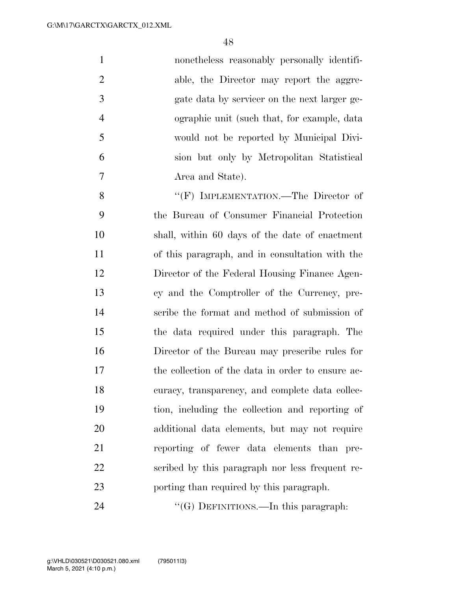| $\mathbf{1}$   | nonetheless reasonably personally identifi-       |
|----------------|---------------------------------------------------|
| $\overline{2}$ | able, the Director may report the aggre-          |
| 3              | gate data by servicer on the next larger ge-      |
| $\overline{4}$ | ographic unit (such that, for example, data       |
| 5              | would not be reported by Municipal Divi-          |
| 6              | sion but only by Metropolitan Statistical         |
| 7              | Area and State).                                  |
| 8              | "(F) IMPLEMENTATION.—The Director of              |
| 9              | the Bureau of Consumer Financial Protection       |
| 10             | shall, within 60 days of the date of enactment    |
| 11             | of this paragraph, and in consultation with the   |
| 12             | Director of the Federal Housing Finance Agen-     |
| 13             | cy and the Comptroller of the Currency, pre-      |
| 14             | scribe the format and method of submission of     |
| 15             | the data required under this paragraph. The       |
| 16             | Director of the Bureau may prescribe rules for    |
| 17             | the collection of the data in order to ensure ac- |
| 18             | curacy, transparency, and complete data collec-   |
| 19             | tion, including the collection and reporting of   |
| 20             | additional data elements, but may not require     |
| 21             | reporting of fewer data elements than pre-        |
| 22             | scribed by this paragraph nor less frequent re-   |
| 23             | porting than required by this paragraph.          |
| 24             | " $(G)$ DEFINITIONS.—In this paragraph:           |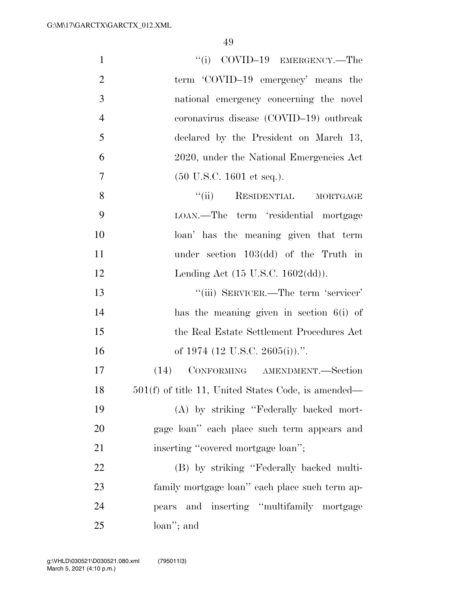| $\mathbf{1}$   | $``(i)$ COVID-19 EMERGENCY.—The                       |
|----------------|-------------------------------------------------------|
| $\overline{2}$ | term 'COVID-19 emergency' means the                   |
| 3              | national emergency concerning the novel               |
| $\overline{4}$ | coronavirus disease (COVID-19) outbreak               |
| 5              | declared by the President on March 13,                |
| 6              | 2020, under the National Emergencies Act              |
| 7              | $(50 \text{ U.S.C. } 1601 \text{ et seq.}).$          |
| 8              | "(ii) RESIDENTIAL MORTGAGE                            |
| 9              | LOAN.—The term 'residential mortgage                  |
| 10             | loan' has the meaning given that term                 |
| 11             | under section $103(\text{dd})$ of the Truth in        |
| 12             | Lending Act $(15 \text{ U.S.C. } 1602(\text{dd}))$ .  |
| 13             | "(iii) SERVICER.—The term 'servicer'                  |
| 14             | has the meaning given in section $6(i)$ of            |
| 15             | the Real Estate Settlement Procedures Act             |
| 16             | of 1974 (12 U.S.C. 2605(i)).".                        |
| 17             | (14) CONFORMING AMENDMENT.-Section                    |
| 18             | $501(f)$ of title 11, United States Code, is amended— |
| 19             | (A) by striking "Federally backed mort-               |
| 20             | gage loan" each place such term appears and           |
| 21             | inserting "covered mortgage loan";                    |
| 22             | (B) by striking "Federally backed multi-              |
| 23             | family mortgage loan" each place such term ap-        |
| 24             | and inserting "multifamily mortgage<br>pears          |
| 25             | loan"; and                                            |